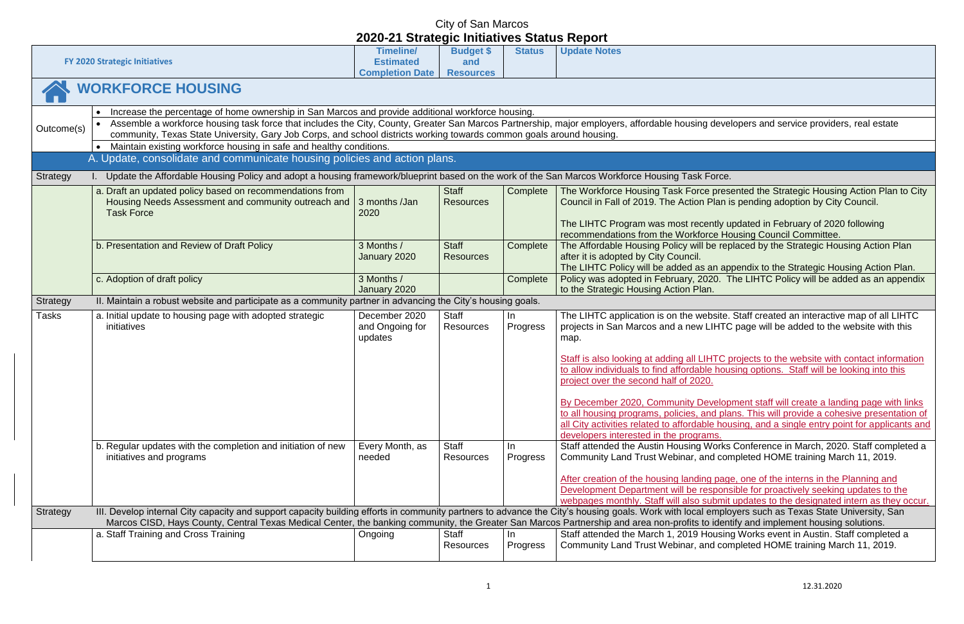|              | <b>FY 2020 Strategic Initiatives</b>                                                                                                                                                                                                                                                                                                                                                                                                                 | <b>Timeline/</b><br><b>Estimated</b><br><b>Completion Date</b> | <b>Budget \$</b><br>and<br><b>Resources</b> | <b>Status</b>   | <b>Update Notes</b>                                                                                                                                                          |
|--------------|------------------------------------------------------------------------------------------------------------------------------------------------------------------------------------------------------------------------------------------------------------------------------------------------------------------------------------------------------------------------------------------------------------------------------------------------------|----------------------------------------------------------------|---------------------------------------------|-----------------|------------------------------------------------------------------------------------------------------------------------------------------------------------------------------|
|              | <b>WORKFORCE HOUSING</b>                                                                                                                                                                                                                                                                                                                                                                                                                             |                                                                |                                             |                 |                                                                                                                                                                              |
| Outcome(s)   | Increase the percentage of home ownership in San Marcos and provide additional workforce housing.<br>Assemble a workforce housing task force that includes the City, County, Greater San Marcos Partnership, major employers, affordable housing deve<br>community, Texas State University, Gary Job Corps, and school districts working towards common goals around housing.<br>Maintain existing workforce housing in safe and healthy conditions. |                                                                |                                             |                 |                                                                                                                                                                              |
|              | A. Update, consolidate and communicate housing policies and action plans.                                                                                                                                                                                                                                                                                                                                                                            |                                                                |                                             |                 |                                                                                                                                                                              |
| Strategy     | Update the Affordable Housing Policy and adopt a housing framework/blueprint based on the work of the San Marcos Workforce Housing Task Force.                                                                                                                                                                                                                                                                                                       |                                                                |                                             |                 |                                                                                                                                                                              |
|              | a. Draft an updated policy based on recommendations from<br>Housing Needs Assessment and community outreach and<br><b>Task Force</b>                                                                                                                                                                                                                                                                                                                 | 3 months /Jan<br>2020                                          | <b>Staff</b><br><b>Resources</b>            | Complete        | The Workforce Housing Task Force pres<br>Council in Fall of 2019. The Action Plan i                                                                                          |
|              |                                                                                                                                                                                                                                                                                                                                                                                                                                                      |                                                                |                                             |                 | The LIHTC Program was most recently u<br>recommendations from the Workforce Ho                                                                                               |
|              | b. Presentation and Review of Draft Policy                                                                                                                                                                                                                                                                                                                                                                                                           | 3 Months /<br>January 2020                                     | <b>Staff</b><br><b>Resources</b>            | Complete        | The Affordable Housing Policy will be rep<br>after it is adopted by City Council.<br>The LIHTC Policy will be added as an ap                                                 |
|              | c. Adoption of draft policy                                                                                                                                                                                                                                                                                                                                                                                                                          | 3 Months /<br>January 2020                                     |                                             | Complete        | Policy was adopted in February, 2020. T<br>to the Strategic Housing Action Plan.                                                                                             |
| Strategy     | II. Maintain a robust website and participate as a community partner in advancing the City's housing goals.                                                                                                                                                                                                                                                                                                                                          |                                                                |                                             |                 |                                                                                                                                                                              |
| <b>Tasks</b> | a. Initial update to housing page with adopted strategic<br>initiatives                                                                                                                                                                                                                                                                                                                                                                              | December 2020<br>and Ongoing for<br>updates                    | <b>Staff</b><br>Resources                   | In<br>Progress  | The LIHTC application is on the website.<br>projects in San Marcos and a new LIHTC<br>map.                                                                                   |
|              |                                                                                                                                                                                                                                                                                                                                                                                                                                                      |                                                                |                                             |                 | Staff is also looking at adding all LIHTC p<br>to allow individuals to find affordable hou<br>project over the second half of 2020.                                          |
|              |                                                                                                                                                                                                                                                                                                                                                                                                                                                      |                                                                |                                             |                 | By December 2020, Community Develop<br>to all housing programs, policies, and pla<br>all City activities related to affordable hou<br>developers interested in the programs. |
|              | b. Regular updates with the completion and initiation of new<br>initiatives and programs                                                                                                                                                                                                                                                                                                                                                             | Every Month, as<br>needed                                      | <b>Staff</b><br><b>Resources</b>            | In.<br>Progress | Staff attended the Austin Housing Works<br>Community Land Trust Webinar, and con                                                                                             |
|              |                                                                                                                                                                                                                                                                                                                                                                                                                                                      |                                                                |                                             |                 | After creation of the housing landing page<br>Development Department will be respons<br>webpages monthly. Staff will also submit                                             |
| Strategy     | III. Develop internal City capacity and support capacity building efforts in community partners to advance the City's housing goals. Work with local emplo                                                                                                                                                                                                                                                                                           |                                                                |                                             |                 |                                                                                                                                                                              |
|              | Marcos CISD, Hays County, Central Texas Medical Center, the banking community, the Greater San Marcos Partnership and area non-profits to ident<br>a. Staff Training and Cross Training                                                                                                                                                                                                                                                              | Ongoing                                                        | Staff<br>Resources                          | In.<br>Progress | Staff attended the March 1, 2019 Housing<br>Community Land Trust Webinar, and con                                                                                            |
|              |                                                                                                                                                                                                                                                                                                                                                                                                                                                      |                                                                |                                             |                 |                                                                                                                                                                              |

### developers and service providers, real estate

presented the Strategic Housing Action Plan to City Plan is pending adoption by City Council.

ntly updated in February of 2020 following ce Housing Council Committee. De replaced by the Strategic Housing Action Plan

an appendix to the Strategic Housing Action Plan. 20. The LIHTC Policy will be added as an appendix

bsite. Staff created an interactive map of all LIHTC LIHTC page will be added to the website with this

**STAFF is also looking is also looking at all LIFTC projects to the website with contact information** to allow individuals to find a following a housing options. Staff will be looking into this

velopment staff will create a landing page with links nd plans. This will provide a cohesive presentation of le housing, and a single entry point for applicants and

Vorks Conference in March, 2020. Staff completed a d completed HOME training March 11, 2019.

page, one of the interns in the Planning and sponsible for proactively seeking updates to the ubmit updates to the designated intern as they occur. employers such as Texas State University, Sand employers to advance to anders to and identify and implement housing solutions. ousing Works event in Austin. Staff completed a d completed HOME training March 11, 2019.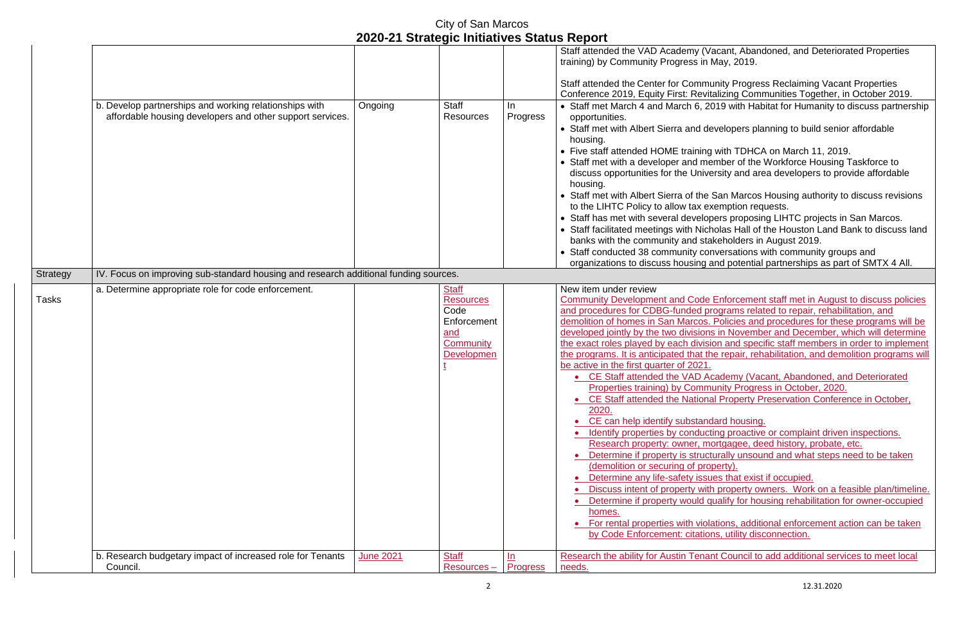|                 |                                                                                                                     |                  |                                                                                           |                              | Staff attended the VAD Academy (V<br>training) by Community Progress in                                                                                                                                                                                                                                                                                                                                                                                                                                                                                                                                                                                                                                                                                                                          |
|-----------------|---------------------------------------------------------------------------------------------------------------------|------------------|-------------------------------------------------------------------------------------------|------------------------------|--------------------------------------------------------------------------------------------------------------------------------------------------------------------------------------------------------------------------------------------------------------------------------------------------------------------------------------------------------------------------------------------------------------------------------------------------------------------------------------------------------------------------------------------------------------------------------------------------------------------------------------------------------------------------------------------------------------------------------------------------------------------------------------------------|
|                 |                                                                                                                     |                  |                                                                                           |                              | Staff attended the Center for Comm<br>Conference 2019, Equity First: Revit                                                                                                                                                                                                                                                                                                                                                                                                                                                                                                                                                                                                                                                                                                                       |
|                 | b. Develop partnerships and working relationships with<br>affordable housing developers and other support services. | Ongoing          | <b>Staff</b><br><b>Resources</b>                                                          | In.<br>Progress              | • Staff met March 4 and March 6, 2<br>opportunities.<br>• Staff met with Albert Sierra and de<br>housing.<br>• Five staff attended HOME training<br>• Staff met with a developer and me<br>discuss opportunities for the Unive<br>housing.<br>• Staff met with Albert Sierra of the<br>to the LIHTC Policy to allow tax ex<br>• Staff has met with several develop<br>• Staff facilitated meetings with Nich<br>banks with the community and sta<br>• Staff conducted 38 community cor<br>organizations to discuss housing a                                                                                                                                                                                                                                                                     |
| <b>Strategy</b> | IV. Focus on improving sub-standard housing and research additional funding sources.                                |                  |                                                                                           |                              |                                                                                                                                                                                                                                                                                                                                                                                                                                                                                                                                                                                                                                                                                                                                                                                                  |
| <b>Tasks</b>    | a. Determine appropriate role for code enforcement.                                                                 |                  | <b>Staff</b><br><b>Resources</b><br>Code<br>Enforcement<br>and<br>Community<br>Developmen |                              | New item under review<br><b>Community Development and Code</b><br>and procedures for CDBG-funded p<br>demolition of homes in San Marcos.<br>developed jointly by the two division<br>the exact roles played by each divisi<br>the programs. It is anticipated that th<br>be active in the first quarter of 2021.<br>• CE Staff attended the VAD A<br><b>Properties training) by Comm</b><br>• CE Staff attended the Nationa<br>2020.<br>CE can help identify substand<br>Identify properties by conduct<br>Research property: owner, m<br>Determine if property is struct<br>(demolition or securing of pro<br>Determine any life-safety issu<br>Discuss intent of property with<br>Determine if property would o<br>homes.<br>• For rental properties with viol<br>by Code Enforcement: citatio |
|                 | b. Research budgetary impact of increased role for Tenants<br>Council.                                              | <b>June 2021</b> | <b>Staff</b><br>$Resources -$                                                             | <u>In</u><br><b>Progress</b> | Research the ability for Austin Tena<br>needs.                                                                                                                                                                                                                                                                                                                                                                                                                                                                                                                                                                                                                                                                                                                                                   |

/acant, Abandoned, and Deteriorated Properties May, 2019.

**State is attended the Chendrian Formation Froperties** Italizing Communities Together, in October 2019. <sup>2019</sup> with Habitat for Humanity to discuss partnership

levelopers planning to build senior affordable

g with TDHCA on March 11, 2019.

ember of the Workforce Housing Taskforce to ersity and area developers to provide affordable

San Marcos Housing authority to discuss revisions exemption requests.

pers proposing LIHTC projects in San Marcos. cholas Hall of the Houston Land Bank to discuss land takeholders in August 2019.

onversations with community groups and and potential partnerships as part of SMTX 4 All.

Enforcement staff met in August to discuss policies programs related to repair, rehabilitation, and

. Policies and procedures for these programs will be he in November and December, which will determine sion and specific staff members in order to implement he repair, rehabilitation, and demolition programs will

**Cademy (Vacant, Abandoned, and Deteriorated** 

munity Progress in October, 2020.

al Property Preservation Conference in October,

dard housing.

ting proactive or complaint driven inspections. hortgagee, deed history, probate, etc.

turally unsound and what steps need to be taken (operty).

ues that exist if occupied.

ith property owners. Work on a feasible plan/timeline. qualify for housing rehabilitation for owner-occupied

lations, additional enforcement action can be taken ons, utility disconnection.

ant Council to add additional services to meet local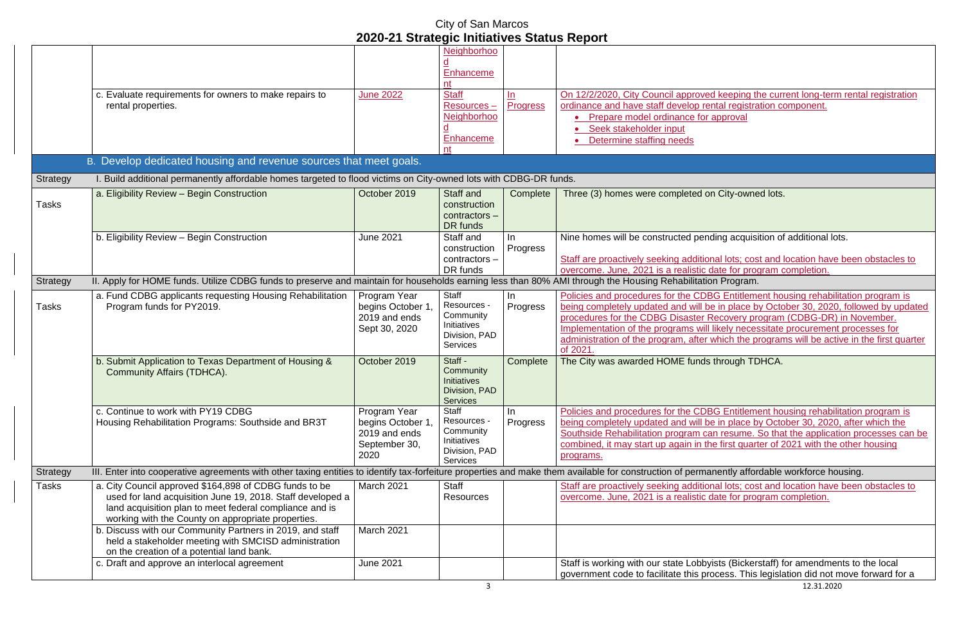3 12.31.2020 yists (Bickerstaff) for amendments to the local rocess. This legislation did not move forward for a

|              |                                                                                                                                                                                                                                       | <u> ZUZU-Z I Strategic Initiatives Status Report</u>                        |                                                                                                    |                   |                                                                                                                                                                                                                                                                        |
|--------------|---------------------------------------------------------------------------------------------------------------------------------------------------------------------------------------------------------------------------------------|-----------------------------------------------------------------------------|----------------------------------------------------------------------------------------------------|-------------------|------------------------------------------------------------------------------------------------------------------------------------------------------------------------------------------------------------------------------------------------------------------------|
|              | c. Evaluate requirements for owners to make repairs to                                                                                                                                                                                | <b>June 2022</b>                                                            | Neighborhoo<br>Enhanceme<br>nt<br><b>Staff</b>                                                     | $\underline{\ln}$ | On 12/2/2020, City Council approved keeping th                                                                                                                                                                                                                         |
|              | rental properties.                                                                                                                                                                                                                    |                                                                             | Resources-<br>Neighborhoo<br>Enhanceme<br>nt                                                       | Progress          | ordinance and have staff develop rental registra<br>Prepare model ordinance for approval<br>Seek stakeholder input<br>Determine staffing needs                                                                                                                         |
|              | B. Develop dedicated housing and revenue sources that meet goals.                                                                                                                                                                     |                                                                             |                                                                                                    |                   |                                                                                                                                                                                                                                                                        |
| Strategy     | I. Build additional permanently affordable homes targeted to flood victims on City-owned lots with CDBG-DR funds.                                                                                                                     |                                                                             |                                                                                                    |                   |                                                                                                                                                                                                                                                                        |
| <b>Tasks</b> | a. Eligibility Review - Begin Construction                                                                                                                                                                                            | October 2019                                                                | Staff and<br>construction<br>contractors -<br>DR funds                                             | Complete          | Three (3) homes were completed on City-owne                                                                                                                                                                                                                            |
|              | b. Eligibility Review - Begin Construction                                                                                                                                                                                            | <b>June 2021</b>                                                            | Staff and<br>construction<br>contractors -<br>DR funds                                             | In<br>Progress    | Nine homes will be constructed pending acquisi<br>Staff are proactively seeking additional lots; cos<br>overcome. June, 2021 is a realistic date for prog                                                                                                              |
| Strategy     | II. Apply for HOME funds. Utilize CDBG funds to preserve and maintain for households earning less than 80% AMI through the Housing Rehabilitation Program.                                                                            |                                                                             |                                                                                                    |                   |                                                                                                                                                                                                                                                                        |
| Tasks        | a. Fund CDBG applicants requesting Housing Rehabilitation<br>Program funds for PY2019.                                                                                                                                                | Program Year<br>begins October 1.<br>2019 and ends<br>Sept 30, 2020         | <b>Staff</b><br>Resources -<br>Community<br><b>Initiatives</b><br>Division, PAD<br><b>Services</b> | In<br>Progress    | Policies and procedures for the CDBG Entitleme<br>being completely updated and will be in place b<br>procedures for the CDBG Disaster Recovery pro<br>Implementation of the programs will likely neces<br>administration of the program, after which the p<br>of 2021. |
|              | b. Submit Application to Texas Department of Housing &<br>Community Affairs (TDHCA).                                                                                                                                                  | October 2019                                                                | Staff -<br>Community<br>Initiatives<br>Division, PAD<br><b>Services</b>                            | Complete          | The City was awarded HOME funds through TD                                                                                                                                                                                                                             |
|              | c. Continue to work with PY19 CDBG<br>Housing Rehabilitation Programs: Southside and BR3T                                                                                                                                             | Program Year<br>begins October 1,<br>2019 and ends<br>September 30,<br>2020 | Staff<br>Resources -<br>Community<br>Initiatives<br>Division, PAD<br><b>Services</b>               | In.<br>Progress   | Policies and procedures for the CDBG Entitlem<br>being completely updated and will be in place b<br>Southside Rehabilitation program can resume.<br>combined, it may start up again in the first quart<br>programs.                                                    |
| Strategy     | III. Enter into cooperative agreements with other taxing entities to identify tax-forfeiture properties and make them available for construction of permanently affor                                                                 |                                                                             |                                                                                                    |                   |                                                                                                                                                                                                                                                                        |
| Tasks        | a. City Council approved \$164,898 of CDBG funds to be<br>used for land acquisition June 19, 2018. Staff developed a<br>land acquisition plan to meet federal compliance and is<br>working with the County on appropriate properties. | March 2021                                                                  | Staff<br><b>Resources</b>                                                                          |                   | Staff are proactively seeking additional lots; cos<br>overcome. June, 2021 is a realistic date for prod                                                                                                                                                                |
|              | b. Discuss with our Community Partners in 2019, and staff<br>held a stakeholder meeting with SMCISD administration<br>on the creation of a potential land bank.                                                                       | March 2021                                                                  |                                                                                                    |                   |                                                                                                                                                                                                                                                                        |
|              | c. Draft and approve an interlocal agreement                                                                                                                                                                                          | <b>June 2021</b>                                                            |                                                                                                    |                   | Staff is working with our state Lobbyists (Bicker<br>government code to facilitate this process. This                                                                                                                                                                  |

od keeping the current long-term rental registration ental registration component. approval

on City-owned lots.

nding acquisition of additional lots.

Inal lots; cost and location have been obstacles to date for program completion.

**BG Entitlement housing rehabilitation program is** be in place by October 30, 2020, followed by updated

**Procedure CODBG-DR)** in November.

I likely necessitate procurement processes for which the programs will be active in the first quarter

s through TDHCA.

**BG Entitlement housing rehabilitation program is** be in place by October 30, 2020, after which the Four Figure Rehabilitation processes can be an resume. So that the application processes can be he first quarter of 2021 with the other housing

anently affordable workforce housing.

Inal lots; cost and location have been obstacles to date for program completion.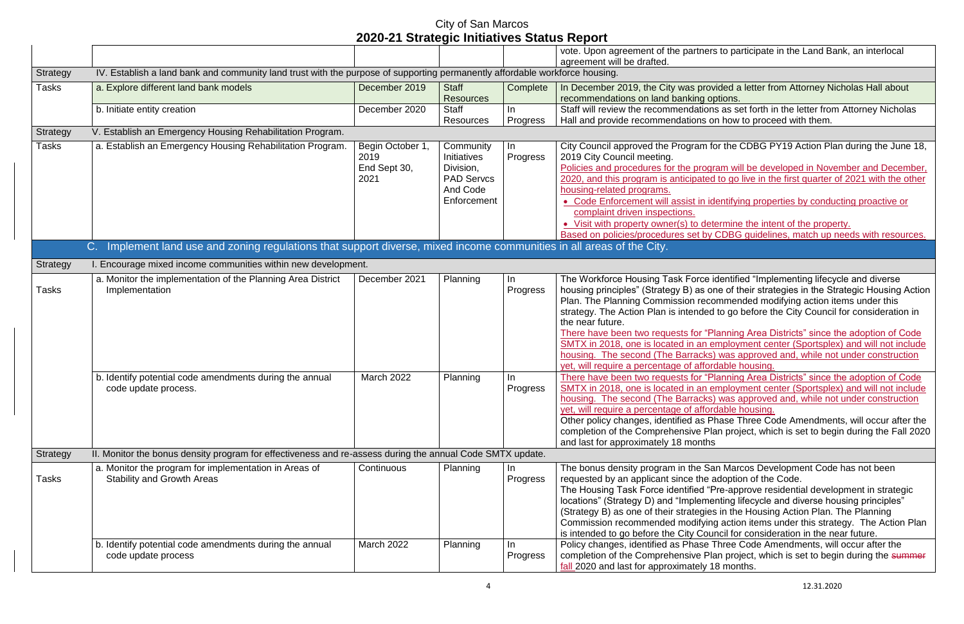|                   |                                                                                                                                                                                                                                   |                                                  |                                                                                              |                                  | vote. Upon agreement of the partners<br>agreement will be drafted.                                                                                                                                                                                                                                                                                                                                                                                                                                                                                                                                   |
|-------------------|-----------------------------------------------------------------------------------------------------------------------------------------------------------------------------------------------------------------------------------|--------------------------------------------------|----------------------------------------------------------------------------------------------|----------------------------------|------------------------------------------------------------------------------------------------------------------------------------------------------------------------------------------------------------------------------------------------------------------------------------------------------------------------------------------------------------------------------------------------------------------------------------------------------------------------------------------------------------------------------------------------------------------------------------------------------|
| Strategy          | IV. Establish a land bank and community land trust with the purpose of supporting permanently affordable workforce housing.                                                                                                       |                                                  |                                                                                              |                                  |                                                                                                                                                                                                                                                                                                                                                                                                                                                                                                                                                                                                      |
| Tasks             | a. Explore different land bank models                                                                                                                                                                                             | December 2019                                    | <b>Staff</b><br><b>Resources</b>                                                             | Complete                         | In December 2019, the City was prov<br>recommendations on land banking op                                                                                                                                                                                                                                                                                                                                                                                                                                                                                                                            |
|                   | b. Initiate entity creation                                                                                                                                                                                                       | December 2020                                    | <b>Staff</b><br><b>Resources</b>                                                             | In.<br>Progress                  | Staff will review the recommendation<br>Hall and provide recommendations o                                                                                                                                                                                                                                                                                                                                                                                                                                                                                                                           |
| <b>Strategy</b>   | V. Establish an Emergency Housing Rehabilitation Program.                                                                                                                                                                         |                                                  |                                                                                              |                                  |                                                                                                                                                                                                                                                                                                                                                                                                                                                                                                                                                                                                      |
| Tasks             | a. Establish an Emergency Housing Rehabilitation Program.                                                                                                                                                                         | Begin October 1,<br>2019<br>End Sept 30,<br>2021 | Community<br><b>Initiatives</b><br>Division,<br><b>PAD Servcs</b><br>And Code<br>Enforcement | In.<br>Progress                  | City Council approved the Program fo<br>2019 City Council meeting.<br>Policies and procedures for the progr<br>2020, and this program is anticipated<br>housing-related programs.<br>• Code Enforcement will assist in id<br>complaint driven inspections.<br>• Visit with property owner(s) to deter-<br>Based on policies/procedures set by                                                                                                                                                                                                                                                        |
|                   | Implement land use and zoning regulations that support diverse, mixed income communities in all areas of the City.<br>C.                                                                                                          |                                                  |                                                                                              |                                  |                                                                                                                                                                                                                                                                                                                                                                                                                                                                                                                                                                                                      |
|                   |                                                                                                                                                                                                                                   |                                                  |                                                                                              |                                  |                                                                                                                                                                                                                                                                                                                                                                                                                                                                                                                                                                                                      |
| Strategy<br>Tasks | I. Encourage mixed income communities within new development.<br>a. Monitor the implementation of the Planning Area District<br>Implementation<br>b. Identify potential code amendments during the annual<br>code update process. | December 2021<br>March 2022                      | Planning<br>Planning                                                                         | In<br>Progress<br>In<br>Progress | The Workforce Housing Task Force i<br>housing principles" (Strategy B) as or<br>Plan. The Planning Commission reco<br>strategy. The Action Plan is intended<br>the near future.<br>There have been two requests for "PI<br>SMTX in 2018, one is located in an e<br>housing. The second (The Barracks)<br>yet, will require a percentage of affore<br>There have been two requests for "PI<br>SMTX in 2018, one is located in an e<br>housing. The second (The Barracks)<br>yet, will require a percentage of affore<br>Other policy changes, identified as PI<br>completion of the Comprehensive Pla |
| Strategy          | II. Monitor the bonus density program for effectiveness and re-assess during the annual Code SMTX update.                                                                                                                         |                                                  |                                                                                              |                                  | and last for approximately 18 months                                                                                                                                                                                                                                                                                                                                                                                                                                                                                                                                                                 |
| Tasks             | a. Monitor the program for implementation in Areas of<br><b>Stability and Growth Areas</b>                                                                                                                                        | Continuous                                       | Planning                                                                                     | In<br>Progress                   | The bonus density program in the Sa<br>requested by an applicant since the a<br>The Housing Task Force identified "F<br>locations" (Strategy D) and "Impleme<br>(Strategy B) as one of their strategies<br>Commission recommended modifying<br>is intended to go before the City Cou                                                                                                                                                                                                                                                                                                                 |
|                   | b. Identify potential code amendments during the annual<br>code update process                                                                                                                                                    | <b>March 2022</b>                                | Planning                                                                                     | In.<br>Progress                  | Policy changes, identified as Phase 7<br>completion of the Comprehensive Pla<br>fall 2020 and last for approximately 1                                                                                                                                                                                                                                                                                                                                                                                                                                                                               |

ers to participate in the Land Bank, an interlocal

**Dided a letter from Attorney Nicholas Hall about** options.

Ins as set forth in the letter from Attorney Nicholas on how to proceed with them.

for the CDBG PY19 Action Plan during the June 18,

gram will be developed in November and December, <sup>2</sup> ad to go live in the first quarter of 2021 with the other

identifying properties by conducting proactive or

etermine the intent of the property. y CDBG quidelines, match up needs with resources.

I identified "Implementing lifecycle and diverse one of their strategies in the Strategic Housing Action commended modifying action items under this ed to go before the City Council for consideration in

Planning Area Districts" since the adoption of Code employment center (Sportsplex) and will not include s) was approved and, while not under construction ordable housing.

Planning Area Districts" since the adoption of Code employment center (Sportsplex) and will not include ks) was approved and, while not under construction brdable housing.

Phase Three Code Amendments, will occur after the Plan project, which is set to begin during the Fall 2020

San Marcos Development Code has not been adoption of the Code.

"Pre-approve residential development in strategic lenting lifecycle and diverse housing principles" ies in the Housing Action Plan. The Planning ing action items under this strategy. The Action Plan buncil for consideration in the near future.

Finree Code Amendments, will occur after the Plan project, which is set to begin during the summer 18 months.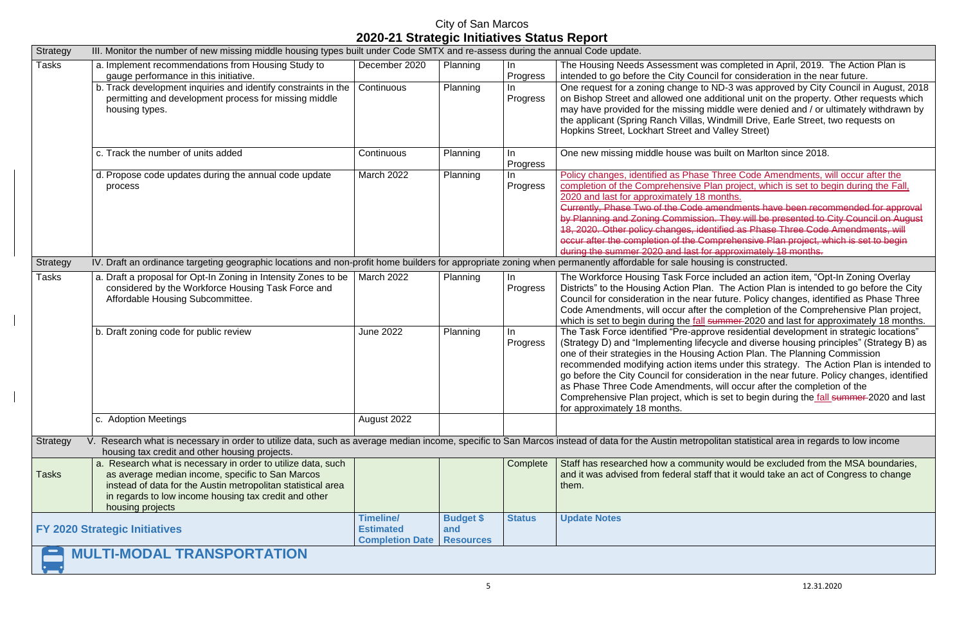| Strategy | III. Monitor the number of new missing middle housing types built under Code SMTX and re-assess during the annual Code update.                                                                                                                                |                                                                |                                             |                 |                                                                                                                                                                                                                                                                                                                                                                                                                                                    |  |  |  |
|----------|---------------------------------------------------------------------------------------------------------------------------------------------------------------------------------------------------------------------------------------------------------------|----------------------------------------------------------------|---------------------------------------------|-----------------|----------------------------------------------------------------------------------------------------------------------------------------------------------------------------------------------------------------------------------------------------------------------------------------------------------------------------------------------------------------------------------------------------------------------------------------------------|--|--|--|
| Tasks    | a. Implement recommendations from Housing Study to<br>gauge performance in this initiative.                                                                                                                                                                   | December 2020                                                  | Planning                                    | In<br>Progress  | The Housing Needs Assessment was completed in Ap<br>intended to go before the City Council for consideration                                                                                                                                                                                                                                                                                                                                       |  |  |  |
|          | b. Track development inquiries and identify constraints in the<br>permitting and development process for missing middle<br>housing types.                                                                                                                     | Continuous                                                     | Planning                                    | In.<br>Progress | One request for a zoning change to ND-3 was approve<br>on Bishop Street and allowed one additional unit on the<br>may have provided for the missing middle were denied<br>the applicant (Spring Ranch Villas, Windmill Drive, Ear<br>Hopkins Street, Lockhart Street and Valley Street)                                                                                                                                                            |  |  |  |
|          | c. Track the number of units added                                                                                                                                                                                                                            | Continuous                                                     | <b>Planning</b>                             | In.<br>Progress | One new missing middle house was built on Marlton si                                                                                                                                                                                                                                                                                                                                                                                               |  |  |  |
|          | d. Propose code updates during the annual code update<br>process                                                                                                                                                                                              | <b>March 2022</b>                                              | <b>Planning</b>                             | In.<br>Progress | Policy changes, identified as Phase Three Code Amer<br>completion of the Comprehensive Plan project, which i<br>2020 and last for approximately 18 months.<br>Currently, Phase Two of the Code amendments have I<br>by Planning and Zoning Commission. They will be pre-<br>18, 2020. Other policy changes, identified as Phase TI<br>occur after the completion of the Comprehensive Plan<br>during the summer 2020 and last for approximately 18 |  |  |  |
| Strategy | IV. Draft an ordinance targeting geographic locations and non-profit home builders for appropriate zoning when permanently affordable for sale housing is constructed.                                                                                        |                                                                |                                             |                 |                                                                                                                                                                                                                                                                                                                                                                                                                                                    |  |  |  |
| Tasks    | a. Draft a proposal for Opt-In Zoning in Intensity Zones to be   March 2022<br>considered by the Workforce Housing Task Force and<br>Affordable Housing Subcommittee.                                                                                         |                                                                | Planning                                    | In<br>Progress  | The Workforce Housing Task Force included an actior<br>Districts" to the Housing Action Plan. The Action Plan<br>Council for consideration in the near future. Policy cha<br>Code Amendments, will occur after the completion of t<br>which is set to begin during the fall summer 2020 and                                                                                                                                                        |  |  |  |
|          | b. Draft zoning code for public review                                                                                                                                                                                                                        | <b>June 2022</b>                                               | Planning                                    | In.<br>Progress | The Task Force identified "Pre-approve residential dev<br>(Strategy D) and "Implementing lifecycle and diverse h<br>one of their strategies in the Housing Action Plan. The<br>recommended modifying action items under this strate<br>go before the City Council for consideration in the near<br>as Phase Three Code Amendments, will occur after th<br>Comprehensive Plan project, which is set to begin duri<br>for approximately 18 months.   |  |  |  |
|          | c. Adoption Meetings                                                                                                                                                                                                                                          | August 2022                                                    |                                             |                 |                                                                                                                                                                                                                                                                                                                                                                                                                                                    |  |  |  |
| Strategy | Research what is necessary in order to utilize data, such as average median income, specific to San Marcos instead of data for the Austin metropolitan statistical are<br>housing tax credit and other housing projects.                                      |                                                                |                                             |                 |                                                                                                                                                                                                                                                                                                                                                                                                                                                    |  |  |  |
| Tasks    | a. Research what is necessary in order to utilize data, such<br>as average median income, specific to San Marcos<br>instead of data for the Austin metropolitan statistical area<br>in regards to low income housing tax credit and other<br>housing projects |                                                                |                                             | Complete        | Staff has researched how a community would be exclu<br>and it was advised from federal staff that it would take<br>them.                                                                                                                                                                                                                                                                                                                           |  |  |  |
|          | <b>FY 2020 Strategic Initiatives</b>                                                                                                                                                                                                                          | <b>Timeline/</b><br><b>Estimated</b><br><b>Completion Date</b> | <b>Budget \$</b><br>and<br><b>Resources</b> | <b>Status</b>   | <b>Update Notes</b>                                                                                                                                                                                                                                                                                                                                                                                                                                |  |  |  |
|          | <b>MULTI-MODAL TRANSPORTATION</b>                                                                                                                                                                                                                             |                                                                |                                             |                 |                                                                                                                                                                                                                                                                                                                                                                                                                                                    |  |  |  |

as completed in April, 2019. The Action Plan is ncil for consideration in the near future.

 $\overline{O}$  ND-3 was approved by City Council in August, 2018 additional unit on the property. Other requests which middle were denied and / or ultimately withdrawn by Windmill Drive, Earle Street, two requests on d Valley Street)

s built on Marlton since 2018.

Policia Code Amendments, will occur after the Plan project, which is set to begin during the Fall, months.

amendments have been recommended for approval on. They will be presented to City Council on August entified as Phase Three Code Amendments, will omprehensive Plan project, which is set to begin  $\alpha$  approximately 18 months.

tincluded an action item, "Opt-In Zoning Overlay n. The Action Plan is intended to go before the City ar future. Policy changes, identified as Phase Three the completion of the Comprehensive Plan project, summer 2020 and last for approximately 18 months. rove residential development in strategic locations"  $\epsilon$ cycle and diverse housing principles" (Strategy B) as ng Action Plan. The Planning Commission ms under this strategy. The Action Plan is intended to ideration in the near future. Policy changes, identified s, will occur after the completion of the

is set to begin during the fall summer 2020 and last

Strategian statistical area in regards to low income

Inity would be excluded from the MSA boundaries, ff that it would take an act of Congress to change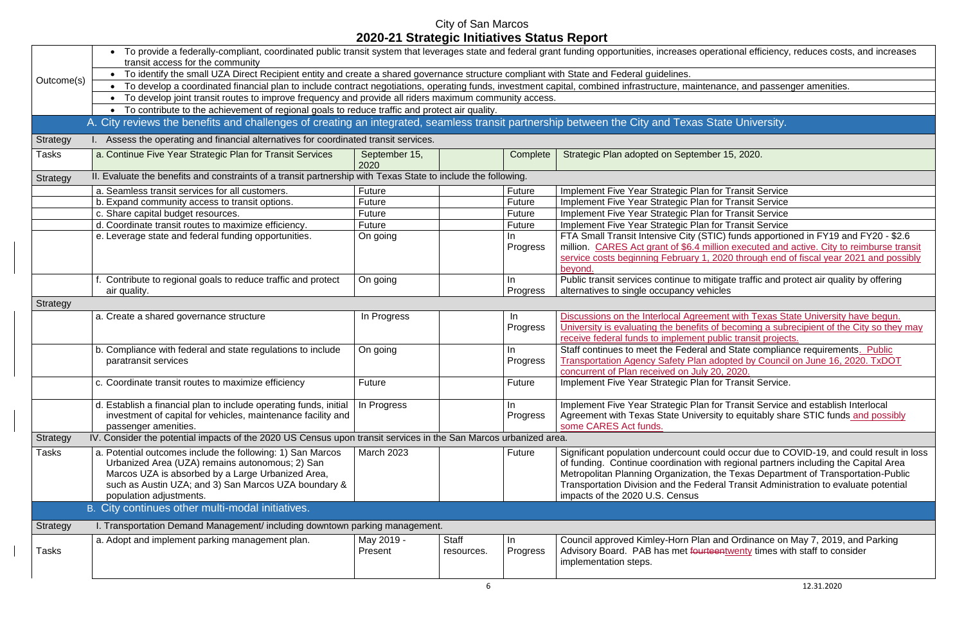|                 | • To provide a federally-compliant, coordinated public transit system that leverages state and federal grant funding opportunities, increases operational efficiency<br>transit access for the community                                              |                       |                            |                 |                                                                                                                                                                                                                                                                              |  |  |  |  |
|-----------------|-------------------------------------------------------------------------------------------------------------------------------------------------------------------------------------------------------------------------------------------------------|-----------------------|----------------------------|-----------------|------------------------------------------------------------------------------------------------------------------------------------------------------------------------------------------------------------------------------------------------------------------------------|--|--|--|--|
|                 | • To identify the small UZA Direct Recipient entity and create a shared governance structure compliant with State and Federal guidelines.                                                                                                             |                       |                            |                 |                                                                                                                                                                                                                                                                              |  |  |  |  |
| Outcome(s)      | To develop a coordinated financial plan to include contract negotiations, operating funds, investment capital, combined infrastructure, maintenance, and passer                                                                                       |                       |                            |                 |                                                                                                                                                                                                                                                                              |  |  |  |  |
|                 | • To develop joint transit routes to improve frequency and provide all riders maximum community access.                                                                                                                                               |                       |                            |                 |                                                                                                                                                                                                                                                                              |  |  |  |  |
|                 | • To contribute to the achievement of regional goals to reduce traffic and protect air quality.                                                                                                                                                       |                       |                            |                 |                                                                                                                                                                                                                                                                              |  |  |  |  |
|                 | A. City reviews the benefits and challenges of creating an integrated, seamless transit partnership between the City and Texas State University.                                                                                                      |                       |                            |                 |                                                                                                                                                                                                                                                                              |  |  |  |  |
| Strategy        | I. Assess the operating and financial alternatives for coordinated transit services.                                                                                                                                                                  |                       |                            |                 |                                                                                                                                                                                                                                                                              |  |  |  |  |
| Tasks           | a. Continue Five Year Strategic Plan for Transit Services                                                                                                                                                                                             | September 15,<br>2020 |                            | Complete        | Strategic Plan adopted on September 15, 2020.                                                                                                                                                                                                                                |  |  |  |  |
| Strategy        | II. Evaluate the benefits and constraints of a transit partnership with Texas State to include the following.                                                                                                                                         |                       |                            |                 |                                                                                                                                                                                                                                                                              |  |  |  |  |
|                 | a. Seamless transit services for all customers.                                                                                                                                                                                                       | Future                |                            | Future          | Implement Five Year Strategic Plan for Transit Service                                                                                                                                                                                                                       |  |  |  |  |
|                 | b. Expand community access to transit options.                                                                                                                                                                                                        | <b>Future</b>         |                            | Future          | Implement Five Year Strategic Plan for Transit Service                                                                                                                                                                                                                       |  |  |  |  |
|                 | c. Share capital budget resources.                                                                                                                                                                                                                    | <b>Future</b>         |                            | Future          | Implement Five Year Strategic Plan for Transit Service                                                                                                                                                                                                                       |  |  |  |  |
|                 | d. Coordinate transit routes to maximize efficiency.                                                                                                                                                                                                  | Future                |                            | Future          | Implement Five Year Strategic Plan for Transit Service                                                                                                                                                                                                                       |  |  |  |  |
|                 | e. Leverage state and federal funding opportunities.                                                                                                                                                                                                  | On going              |                            | In.<br>Progress | FTA Small Transit Intensive City (STIC) funds apportio<br>million. CARES Act grant of \$6.4 million executed and                                                                                                                                                             |  |  |  |  |
|                 |                                                                                                                                                                                                                                                       |                       |                            |                 | service costs beginning February 1, 2020 through end                                                                                                                                                                                                                         |  |  |  |  |
|                 |                                                                                                                                                                                                                                                       |                       |                            |                 | beyond.                                                                                                                                                                                                                                                                      |  |  |  |  |
|                 | f. Contribute to regional goals to reduce traffic and protect<br>air quality.                                                                                                                                                                         | On going              |                            | In.<br>Progress | Public transit services continue to mitigate traffic and p<br>alternatives to single occupancy vehicles                                                                                                                                                                      |  |  |  |  |
| Strategy        |                                                                                                                                                                                                                                                       |                       |                            |                 |                                                                                                                                                                                                                                                                              |  |  |  |  |
|                 | a. Create a shared governance structure                                                                                                                                                                                                               | In Progress           |                            | In              | Discussions on the Interlocal Agreement with Texas St                                                                                                                                                                                                                        |  |  |  |  |
|                 |                                                                                                                                                                                                                                                       |                       |                            | Progress        | University is evaluating the benefits of becoming a sub                                                                                                                                                                                                                      |  |  |  |  |
|                 |                                                                                                                                                                                                                                                       |                       |                            |                 | receive federal funds to implement public transit project                                                                                                                                                                                                                    |  |  |  |  |
|                 | b. Compliance with federal and state regulations to include                                                                                                                                                                                           | On going              |                            | In              | Staff continues to meet the Federal and State compliar                                                                                                                                                                                                                       |  |  |  |  |
|                 | paratransit services                                                                                                                                                                                                                                  |                       |                            | Progress        | <b>Transportation Agency Safety Plan adopted by Counci</b>                                                                                                                                                                                                                   |  |  |  |  |
|                 |                                                                                                                                                                                                                                                       |                       |                            |                 | concurrent of Plan received on July 20, 2020.                                                                                                                                                                                                                                |  |  |  |  |
|                 | c. Coordinate transit routes to maximize efficiency                                                                                                                                                                                                   | Future                |                            | Future          | Implement Five Year Strategic Plan for Transit Service                                                                                                                                                                                                                       |  |  |  |  |
|                 | d. Establish a financial plan to include operating funds, initial<br>investment of capital for vehicles, maintenance facility and<br>passenger amenities.                                                                                             | In Progress           |                            | In.<br>Progress | Implement Five Year Strategic Plan for Transit Service<br>Agreement with Texas State University to equitably sha<br>some CARES Act funds.                                                                                                                                    |  |  |  |  |
| <b>Strategy</b> | IV. Consider the potential impacts of the 2020 US Census upon transit services in the San Marcos urbanized area.                                                                                                                                      |                       |                            |                 |                                                                                                                                                                                                                                                                              |  |  |  |  |
| Tasks           | a. Potential outcomes include the following: 1) San Marcos<br>Urbanized Area (UZA) remains autonomous; 2) San<br>Marcos UZA is absorbed by a Large Urbanized Area,<br>such as Austin UZA; and 3) San Marcos UZA boundary &<br>population adjustments. | <b>March 2023</b>     |                            | <b>Future</b>   | Significant population undercount could occur due to C<br>of funding. Continue coordination with regional partne<br>Metropolitan Planning Organization, the Texas Departi<br><b>Transportation Division and the Federal Transit Admin</b><br>impacts of the 2020 U.S. Census |  |  |  |  |
|                 | B. City continues other multi-modal initiatives.                                                                                                                                                                                                      |                       |                            |                 |                                                                                                                                                                                                                                                                              |  |  |  |  |
| Strategy        | I. Transportation Demand Management/ including downtown parking management.                                                                                                                                                                           |                       |                            |                 |                                                                                                                                                                                                                                                                              |  |  |  |  |
| Tasks           | a. Adopt and implement parking management plan.                                                                                                                                                                                                       | May 2019 -<br>Present | <b>Staff</b><br>resources. | In.<br>Progress | Council approved Kimley-Horn Plan and Ordinance on<br>Advisory Board. PAB has met fourteentwenty times w<br>implementation steps.                                                                                                                                            |  |  |  |  |

berational efficiency, reduces costs, and increases

enance, and passenger amenities.

FTIC) funds apportioned in FY19 and FY20 - \$2.6 nillion executed and active. City to reimburse transit , 2020 through end of fiscal year 2021 and possibly

mitigate traffic and protect air quality by offering hicles

**Examble 20 Finds on the Interlace State University have begun.** of becoming a subrecipient of the City so they may public transit projects.

and State compliance requirements. Public adopted by Council on June 16, 2020. TxDOT  $20, 2020.$ 

**Ifor Transit Service and establish Interlocal** rsity to equitably share STIC funds and possibly

could occur due to COVID-19, and could result in loss with regional partners including the Capital Area , the Texas Department of Transportation-Public deral Transit Administration to evaluate potential

and Ordinance on May 7, 2019, and Parking teentwenty times with staff to consider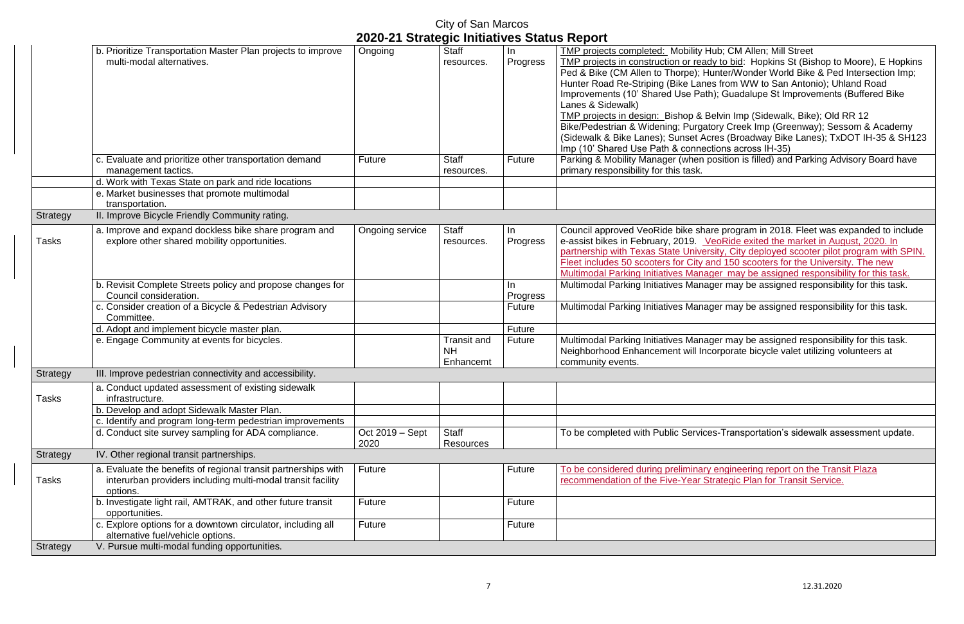|                 |                                                                                                                               |                                             | City of San Marcos                           |                 |                                                                                                                                                                                                                                                                                                                                                                   |
|-----------------|-------------------------------------------------------------------------------------------------------------------------------|---------------------------------------------|----------------------------------------------|-----------------|-------------------------------------------------------------------------------------------------------------------------------------------------------------------------------------------------------------------------------------------------------------------------------------------------------------------------------------------------------------------|
|                 |                                                                                                                               | 2020-21 Strategic Initiatives Status Report |                                              |                 |                                                                                                                                                                                                                                                                                                                                                                   |
|                 | b. Prioritize Transportation Master Plan projects to improve<br>multi-modal alternatives.                                     | Ongoing                                     | <b>Staff</b><br>resources.                   | In.<br>Progress | TMP projects completed: Mobility I<br>TMP projects in construction or rea<br>Ped & Bike (CM Allen to Thorpe); H<br>Hunter Road Re-Striping (Bike Lan<br>Improvements (10' Shared Use Pat<br>Lanes & Sidewalk)<br>TMP projects in design: Bishop & I<br>Bike/Pedestrian & Widening; Purga<br>(Sidewalk & Bike Lanes); Sunset A<br>Imp (10' Shared Use Path & conne |
|                 | c. Evaluate and prioritize other transportation demand<br>management tactics.                                                 | Future                                      | <b>Staff</b><br>resources.                   | Future          | Parking & Mobility Manager (when<br>primary responsibility for this task.                                                                                                                                                                                                                                                                                         |
|                 | d. Work with Texas State on park and ride locations                                                                           |                                             |                                              |                 |                                                                                                                                                                                                                                                                                                                                                                   |
|                 | e. Market businesses that promote multimodal<br>transportation.                                                               |                                             |                                              |                 |                                                                                                                                                                                                                                                                                                                                                                   |
| Strategy        | II. Improve Bicycle Friendly Community rating.                                                                                |                                             |                                              |                 |                                                                                                                                                                                                                                                                                                                                                                   |
| Tasks           | a. Improve and expand dockless bike share program and<br>explore other shared mobility opportunities.                         | Ongoing service                             | <b>Staff</b><br>resources.                   | In<br>Progress  | Council approved VeoRide bike sha<br>e-assist bikes in February, 2019.<br>partnership with Texas State Unive<br>Fleet includes 50 scooters for City a<br><b>Multimodal Parking Initiatives Mana</b>                                                                                                                                                               |
|                 | b. Revisit Complete Streets policy and propose changes for<br>Council consideration.                                          |                                             |                                              | In.<br>Progress | <b>Multimodal Parking Initiatives Mana</b>                                                                                                                                                                                                                                                                                                                        |
|                 | c. Consider creation of a Bicycle & Pedestrian Advisory<br>Committee.                                                         |                                             |                                              | Future          | Multimodal Parking Initiatives Mana                                                                                                                                                                                                                                                                                                                               |
|                 | d. Adopt and implement bicycle master plan.                                                                                   |                                             |                                              | Future          |                                                                                                                                                                                                                                                                                                                                                                   |
|                 | e. Engage Community at events for bicycles.                                                                                   |                                             | <b>Transit and</b><br><b>NH</b><br>Enhancemt | <b>Future</b>   | Multimodal Parking Initiatives Mana<br>Neighborhood Enhancement will In<br>community events.                                                                                                                                                                                                                                                                      |
| <b>Strategy</b> | III. Improve pedestrian connectivity and accessibility.                                                                       |                                             |                                              |                 |                                                                                                                                                                                                                                                                                                                                                                   |
| Tasks           | a. Conduct updated assessment of existing sidewalk<br>infrastructure.                                                         |                                             |                                              |                 |                                                                                                                                                                                                                                                                                                                                                                   |
|                 | b. Develop and adopt Sidewalk Master Plan.                                                                                    |                                             |                                              |                 |                                                                                                                                                                                                                                                                                                                                                                   |
|                 | c. Identify and program long-term pedestrian improvements                                                                     |                                             |                                              |                 |                                                                                                                                                                                                                                                                                                                                                                   |
|                 | d. Conduct site survey sampling for ADA compliance.                                                                           | Oct 2019 – Sept<br>2020                     | <b>Staff</b><br><b>Resources</b>             |                 | To be completed with Public Servic                                                                                                                                                                                                                                                                                                                                |
| Strategy        | IV. Other regional transit partnerships.                                                                                      |                                             |                                              |                 |                                                                                                                                                                                                                                                                                                                                                                   |
| Tasks           | a. Evaluate the benefits of regional transit partnerships with<br>interurban providers including multi-modal transit facility | Future                                      |                                              | Future          | To be considered during preliminar<br>recommendation of the Five-Year S                                                                                                                                                                                                                                                                                           |
|                 | options.<br>b. Investigate light rail, AMTRAK, and other future transit<br>opportunities.                                     | Future                                      |                                              | Future          |                                                                                                                                                                                                                                                                                                                                                                   |
|                 | c. Explore options for a downtown circulator, including all<br>alternative fuel/vehicle options.                              | Future                                      |                                              | Future          |                                                                                                                                                                                                                                                                                                                                                                   |
| Strategy        | V. Pursue multi-modal funding opportunities.                                                                                  |                                             |                                              |                 |                                                                                                                                                                                                                                                                                                                                                                   |

Hub; CM Allen; Mill Street The projects in construction or the bid projects in the state of the bid: Hopkins St (Bishop to Moore), E Hopkins Hunter/Wonder World Bike & Ped Intersection Imp; hes from WW to San Antonio); Uhland Road Ith); Guadalupe St Improvements (Buffered Bike

Belvin Imp (Sidewalk, Bike); Old RR 12 atory Creek Imp (Greenway); Sessom & Academy Acres (Broadway Bike Lanes); TxDOT IH-35 & SH123 ctions across IH-35) position is filled) and Parking Advisory Board have

are program in 2018. Fleet was expanded to include VeoRide exited the market in August, 2020. In prsity, City deployed scooter pilot program with SPIN. and 150 scooters for the University. The new ager may be assigned responsibility for this task. ager may be assigned responsibility for this task.

ager may be assigned responsibility for this task.

ager may be assigned responsibility for this task. ncorporate bicycle valet utilizing volunteers at

tes-Transportation's sidewalk assessment update.

y engineering report on the Transit Plaza **Strategic Plan for Transit Service.**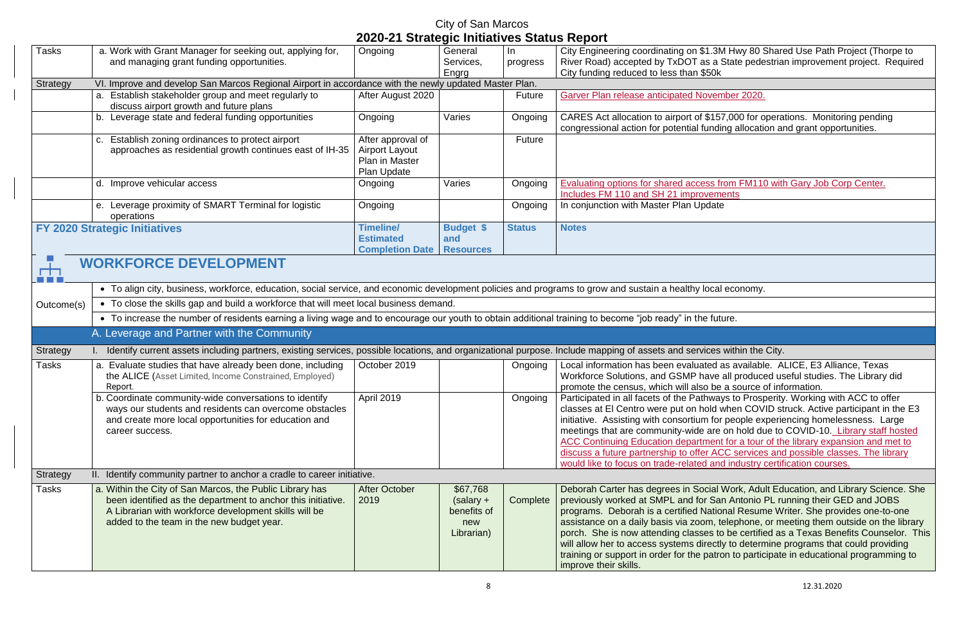City Engineering coordinating on \$1.3M Hwy 80 Shared Use Path Project (Thorpe to River Road) accepted by TxDOT as a State pedestrian improvement project. Required

congressional action for potential funding allocation and grant opportunities.

#### City of San Marcos **2020-21 Strategic Initiatives Status Report** Tasks | a. Work with Grant Manager for seeking out, applying for, Ongoing | General In and managing grant funding opportunities. Services, progress Engrg City funding reduced to less than \$50k Strategy VI. Improve and develop San Marcos Regional Airport in accordance with the newly updated Master Plan. a. Establish stakeholder group and meet regularly to After August 2020 | Future | Garver Plan release anticipated November 2020. discuss airport growth and future plans b. Leverage state and federal funding opportunities | Ongoing | Varies | Ongoing | CARES Act allocation to airport of \$157,000 for operations. Monitoring pending c. Establish zoning ordinances to protect airport After approval of Future approaches as residential growth continues east of IH-35 Airport Layout Plan in Master Plan Update d. Improve vehicular access **Ongoing** | Ongoing | Varies | Ongoing | Evaluating options for shared access from FM110 with Gary Job Corp Center. Includes FM 110 and SH 21 improvements e. Leverage proximity of SMART Terminal for logistic Ongoing **In conjunction with Master Plan Update** operations **FY 2020 Strategic Initiatives Timeline/ Budget \$ Status Notes Estimated and Resources Completion Date WORKFORCE DEVELOPMENT** ┍┿┓ **The Common** • To align city, business, workforce, education, social service, and economic development policies and programs to grow and sustain a healthy local economy. • To close the skills gap and build a workforce that will meet local business demand. Outcome(s) • To increase the number of residents earning a living wage and to encourage our youth to obtain additional training to become "job ready" in the future. A. Leverage and Partner with the Community Strategy I. Identify current assets including partners, existing services, possible locations, and organizational purpose. Include mapping of assets and services within the City. Tasks a. Evaluate studies that have already been done, including October 2019 | Ongoing | Local information has been evaluated as available. ALICE, E3 Alliance, Texas the ALICE (Asset Limited, Income Constrained, Employed) Report. promote the census, which will also be a source of information. April 2019 | Ongoing | Participated in all facets of the Pathways to Prosperity. Working with ACC to offer b. Coordinate community-wide conversations to identify ways our students and residents can overcome obstacles and create more local opportunities for education and career success. would like to focus on trade-related and industry certification courses. Strategy II. Identify community partner to anchor a cradle to career initiative. Tasks **a.** Within the City of San Marcos, the Public Library has After October \$67,768 been identified as the department to anchor this initiative. 2019 (salary + **Complete** A Librarian with workforce development skills will be benefits of added to the team in the new budget year. new Librarian) improve their skills.

Workforce Solutions, and GSMP have all produced useful studies. The Library did

classes at El Centro were put on hold when COVID struck. Active participant in the E3 initiative. Assisting with consortium for people experiencing homelessness. Large meetings that are community-wide are on hold due to COVID-10. Library staff hosted ACC Continuing Education department for a tour of the library expansion and met to discuss a future partnership to offer ACC services and possible classes. The library

Deborah Carter has degrees in Social Work, Adult Education, and Library Science. She previously worked at SMPL and for San Antonio PL running their GED and JOBS programs. Deborah is a certified National Resume Writer. She provides one-to-one assistance on a daily basis via zoom, telephone, or meeting them outside on the library porch. She is now attending classes to be certified as a Texas Benefits Counselor. This will allow her to access systems directly to determine programs that could providing training or support in order for the patron to participate in educational programming to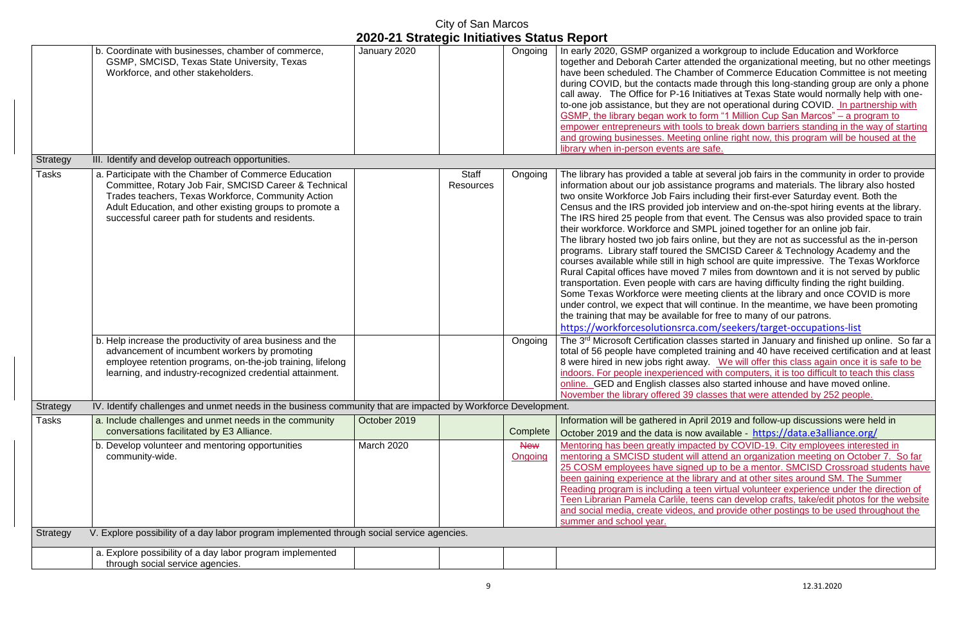|              | City of San Marcos<br>2020-21 Strategic Initiatives Status Report                                                                                                                                                                                                                     |              |                           |                       |                                                                                                                                                                                                                                                                                                                                                                                                                                                                                                                                                                                                            |  |  |
|--------------|---------------------------------------------------------------------------------------------------------------------------------------------------------------------------------------------------------------------------------------------------------------------------------------|--------------|---------------------------|-----------------------|------------------------------------------------------------------------------------------------------------------------------------------------------------------------------------------------------------------------------------------------------------------------------------------------------------------------------------------------------------------------------------------------------------------------------------------------------------------------------------------------------------------------------------------------------------------------------------------------------------|--|--|
|              | b. Coordinate with businesses, chamber of commerce,<br>GSMP, SMCISD, Texas State University, Texas<br>Workforce, and other stakeholders.                                                                                                                                              | January 2020 |                           | Ongoing               | In early 2020, GSMP organized a w<br>together and Deborah Carter attend<br>have been scheduled. The Chambe<br>during COVID, but the contacts ma<br>call away. The Office for P-16 Initia<br>to-one job assistance, but they are<br><b>GSMP, the library began work to for</b><br>empower entrepreneurs with tools t<br>and growing businesses. Meeting o<br>library when in-person events are s                                                                                                                                                                                                            |  |  |
| Strategy     | III. Identify and develop outreach opportunities.                                                                                                                                                                                                                                     |              |                           |                       |                                                                                                                                                                                                                                                                                                                                                                                                                                                                                                                                                                                                            |  |  |
| <b>Tasks</b> | a. Participate with the Chamber of Commerce Education<br>Committee, Rotary Job Fair, SMCISD Career & Technical<br>Trades teachers, Texas Workforce, Community Action<br>Adult Education, and other existing groups to promote a<br>successful career path for students and residents. |              | <b>Staff</b><br>Resources | Ongoing               | The library has provided a table at s<br>information about our job assistance<br>two onsite Workforce Job Fairs incl<br>Census and the IRS provided job in<br>The IRS hired 25 people from that a<br>their workforce. Workforce and SMF<br>The library hosted two job fairs onlir<br>programs. Library staff toured the S<br>courses available while still in high a<br>Rural Capital offices have moved 7<br>transportation. Even people with ca<br>Some Texas Workforce were meeti<br>under control, we expect that will co<br>the training that may be available fo<br>https://workforcesolutionsrca.co |  |  |
|              | b. Help increase the productivity of area business and the<br>advancement of incumbent workers by promoting<br>employee retention programs, on-the-job training, lifelong<br>learning, and industry-recognized credential attainment.                                                 |              |                           | Ongoing               | The 3rd Microsoft Certification class<br>total of 56 people have completed t<br>8 were hired in new jobs right away<br>indoors. For people inexperienced v<br>online. GED and English classes a<br>November the library offered 39 cla                                                                                                                                                                                                                                                                                                                                                                     |  |  |
| Strategy     | IV. Identify challenges and unmet needs in the business community that are impacted by Workforce Development.                                                                                                                                                                         |              |                           |                       |                                                                                                                                                                                                                                                                                                                                                                                                                                                                                                                                                                                                            |  |  |
| <b>Tasks</b> | a. Include challenges and unmet needs in the community<br>conversations facilitated by E3 Alliance.                                                                                                                                                                                   | October 2019 |                           | Complete              | Information will be gathered in April<br>October 2019 and the data is now a                                                                                                                                                                                                                                                                                                                                                                                                                                                                                                                                |  |  |
|              | b. Develop volunteer and mentoring opportunities<br>community-wide.                                                                                                                                                                                                                   | March 2020   |                           | <b>New</b><br>Ongoing | Mentoring has been greatly impacte<br>mentoring a SMCISD student will at<br>25 COSM employees have signed u<br>been gaining experience at the libra<br>Reading program is including a teer<br>Teen Librarian Pamela Carlile, teen<br>and social media, create videos, an<br>summer and school year.                                                                                                                                                                                                                                                                                                        |  |  |
| Strategy     | V. Explore possibility of a day labor program implemented through social service agencies.                                                                                                                                                                                            |              |                           |                       |                                                                                                                                                                                                                                                                                                                                                                                                                                                                                                                                                                                                            |  |  |
|              | a. Explore possibility of a day labor program implemented<br>through social service agencies.                                                                                                                                                                                         |              |                           |                       |                                                                                                                                                                                                                                                                                                                                                                                                                                                                                                                                                                                                            |  |  |

vorkgroup to include Education and Workforce ded the organizational meeting, but no other meetings er of Commerce Education Committee is not meeting de through this long-standing group are only a phone iatives at Texas State would normally help with onenot operational during COVID. In partnership with Form "1 Million Cup San Marcos" – a program to to break down barriers standing in the way of starting and growing business in this program will be housed at the lafe.

several job fairs in the community in order to provide e programs and materials. The library also hosted uding their first-ever Saturday event. Both the Interview and on-the-spot hiring events at the library. event. The Census was also provided space to train PL joined together for an online job fair.

ne, but they are not as successful as the in-person SMCISD Career & Technology Academy and the school are quite impressive. The Texas Workforce miles from downtown and it is not served by public ars are having difficulty finding the right building. ing clients at the library and once COVID is more ontinue. In the meantime, we have been promoting or free to many of our patrons.

 $nm/seekers/target-occupations-list$ 

ses started in January and finished up online. So far a raining and 40 have received certification and at least We will offer this class again once it is safe to be with computers, it is too difficult to teach this class Iso started inhouse and have moved online. sses that were attended by 252 people.

2019 and follow-up discussions were held in october 2019 and the data is now all the data is not determined a valid for the data is not the set of  $\ell$ August by COVID-19. City employees interested in ttend an organization meeting on October 7. So far up to be a mentor. SMCISD Crossroad students have ary and at other sites around SM. The Summer n virtual volunteer experience under the direction of Is can develop crafts, take/edit photos for the website d provide other postings to be used throughout the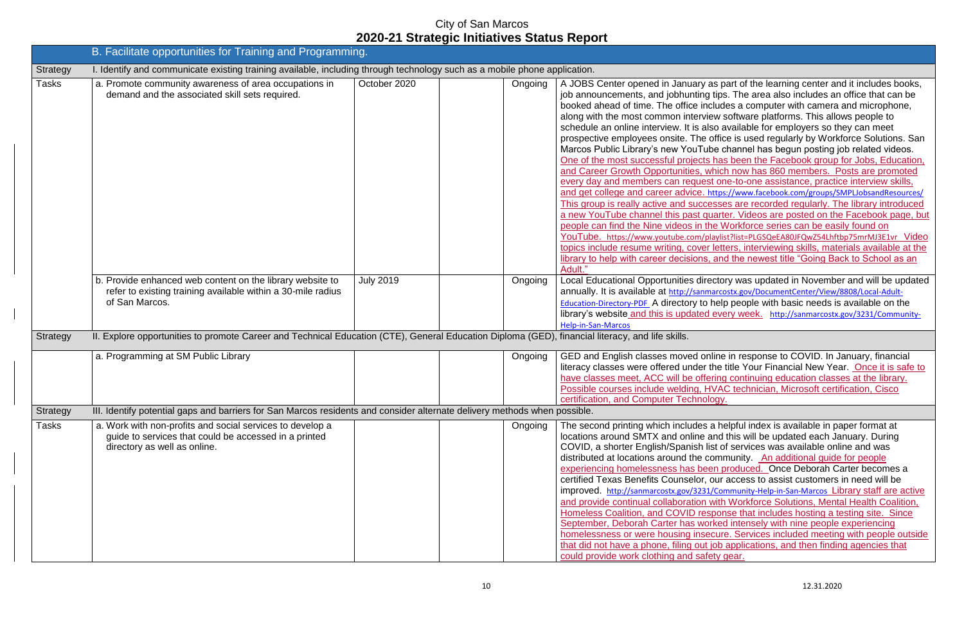| B. Facilitate opportunities for Training and Programming. |                                                                                                                                                                                                                                                                                                 |                  |  |         |                                                                                                                                                                                                                                                                                                                                                                                                                                                                                                                                                                                                                                                                                                                                                                        |  |  |
|-----------------------------------------------------------|-------------------------------------------------------------------------------------------------------------------------------------------------------------------------------------------------------------------------------------------------------------------------------------------------|------------------|--|---------|------------------------------------------------------------------------------------------------------------------------------------------------------------------------------------------------------------------------------------------------------------------------------------------------------------------------------------------------------------------------------------------------------------------------------------------------------------------------------------------------------------------------------------------------------------------------------------------------------------------------------------------------------------------------------------------------------------------------------------------------------------------------|--|--|
| Strategy                                                  | I. Identify and communicate existing training available, including through technology such as a mobile phone application.                                                                                                                                                                       |                  |  |         |                                                                                                                                                                                                                                                                                                                                                                                                                                                                                                                                                                                                                                                                                                                                                                        |  |  |
| <b>Tasks</b>                                              | a. Promote community awareness of area occupations in<br>demand and the associated skill sets required.                                                                                                                                                                                         | October 2020     |  | Ongoing | A JOBS Center opened in January as pa<br>job announcements, and jobhunting tips<br>booked ahead of time. The office include<br>along with the most common interview s<br>schedule an online interview. It is also a<br>prospective employees onsite. The offic<br>Marcos Public Library's new YouTube c<br>One of the most successful projects has<br>and Career Growth Opportunities, which<br>every day and members can request on<br>and get college and career advice. https:<br>This group is really active and successe<br>a new YouTube channel this past quarte<br>people can find the Nine videos in the W<br>YouTube. https://www.youtube.com/playlis<br>topics include resume writing, cover lette<br>library to help with career decisions, and<br>Adult." |  |  |
| Strategy                                                  | b. Provide enhanced web content on the library website to<br>refer to existing training available within a 30-mile radius<br>of San Marcos.<br>II. Explore opportunities to promote Career and Technical Education (CTE), General Education Diploma (GED), financial literacy, and life skills. | <b>July 2019</b> |  | Ongoing | <b>Local Educational Opportunities director</b><br>annually. It is available at http://sanmarco<br><b>Education-Directory-PDF</b> A directory to help<br>library's website and this is updated eve<br><b>Help-in-San-Marcos</b>                                                                                                                                                                                                                                                                                                                                                                                                                                                                                                                                        |  |  |
|                                                           | a. Programming at SM Public Library                                                                                                                                                                                                                                                             |                  |  | Ongoing | GED and English classes moved online<br>literacy classes were offered under the t<br>have classes meet, ACC will be offering<br>Possible courses include welding, HVA<br>certification, and Computer Technology.                                                                                                                                                                                                                                                                                                                                                                                                                                                                                                                                                       |  |  |
| Strategy                                                  | III. Identify potential gaps and barriers for San Marcos residents and consider alternate delivery methods when possible.                                                                                                                                                                       |                  |  |         |                                                                                                                                                                                                                                                                                                                                                                                                                                                                                                                                                                                                                                                                                                                                                                        |  |  |
| <b>Tasks</b>                                              | a. Work with non-profits and social services to develop a<br>guide to services that could be accessed in a printed<br>directory as well as online.                                                                                                                                              |                  |  | Ongoing | The second printing which includes a he<br>locations around SMTX and online and<br>COVID, a shorter English/Spanish list of<br>distributed at locations around the comn<br>experiencing homelessness has been p<br>certified Texas Benefits Counselor, our<br>improved. http://sanmarcostx.gov/3231/Con<br>and provide continual collaboration with<br>Homeless Coalition, and COVID respon<br>September, Deborah Carter has worked<br>homelessness or were housing insecure<br>that did not have a phone, filing out job a<br>could provide work clothing and safety of                                                                                                                                                                                               |  |  |

as part of the learning center and it includes books, g tips. The area also includes an office that can be dead a computer with camera and microphone, iew software platforms. This allows people to Iso available for employers so they can meet office is used regularly by Workforce Solutions. San Ibe channel has begun posting job related videos. s has been the Facebook group for Jobs, Education, which now has 860 members. Posts are promoted st one-to-one assistance, practice interview skills, <https://www.facebook.com/groups/SMPLJobsandResources/> thes group is recorded regularly. The library introduced juarter. Videos are posted on the Facebook page, but the Workforce series can be easily found on Voutube. https://www.youtube.com/playlist?list=PLGSQeEA80JFQwZ54Lhftbp75mrMJ3E1vr r letters, interviewing skills, materials available at the , and the newest title "Going Back to School as an

ectory was updated in November and will be updated narcostx.gov/DocumentCenter/View/8808/Local-Adulthelp people with basic needs is available on the library week. [http://sanmarcostx.gov/3231/Community-](http://sanmarcostx.gov/3231/Community-Help-in-San-Marcos)

nline in response to COVID. In January, financial the title Your Financial New Year. Once it is safe to ering continuing education classes at the library. HVAC technician, Microsoft certification, Cisco

a helpful index is available in paper format at and this will be updated each January. During ist of services was available online and was community. An additional guide for people en produced. Once Deborah Carter becomes a our access to assist customers in need will be I/Community-Help-in-San-Marcos Library staff are active with Workforce Solutions, Mental Health Coalition, sponse that includes hosting a testing site. Since orked intensely with nine people experiencing ecure. Services included meeting with people outside job applications, and then finding agencies that ety gear.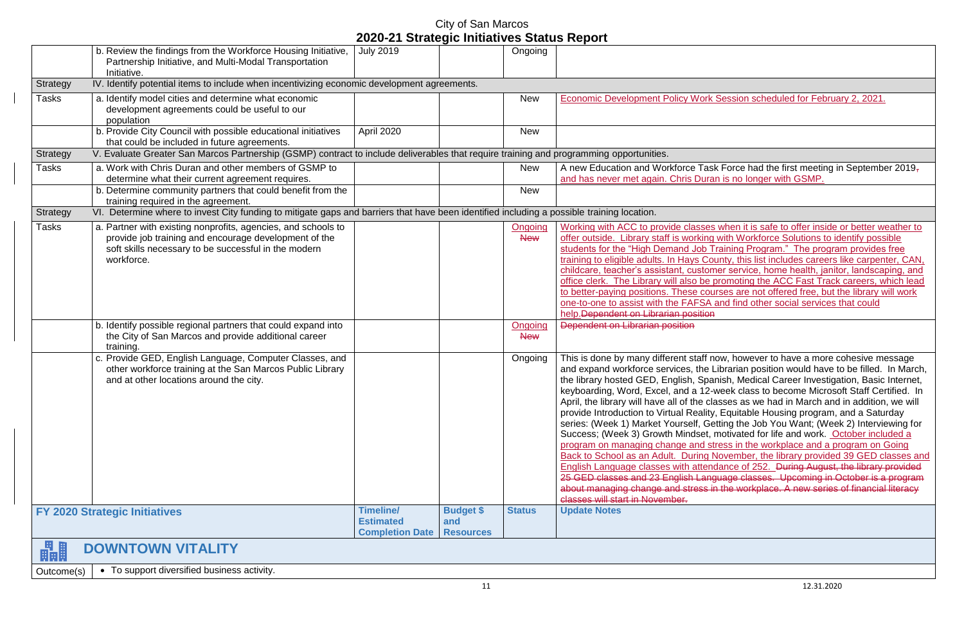City of San Marcos

#### **2020-21 Strategic Initiatives Status Report** b. Review the findings from the Workforce Housing Initiative, July 2019 Ongoing Partnership Initiative, and Multi-Modal Transportation Initiative. Strategy IV. Identify potential items to include when incentivizing economic development agreements. Tasks a. Identify model cities and determine what economic New **Economic Development Policy Work Session scheduled for February 2, 2021.** development agreements could be useful to our population b. Provide City Council with possible educational initiatives April 2020 New that could be included in future agreements. Strategy V. Evaluate Greater San Marcos Partnership (GSMP) contract to include deliverables that require training and programming opportunities. Tasks a. Work with Chris Duran and other members of GSMP to and has never met again. Chris Duran is no longer with GSMP. determine what their current agreement requires. b. Determine community partners that could benefit from the New training required in the agreement. Strategy VI. Determine where to invest City funding to mitigate gaps and barriers that have been identified including a possible training location. Tasks a. Partner with existing nonprofits, agencies, and schools to **Ongoing** provide job training and encourage development of the **New** soft skills necessary to be successful in the modern workforce. help. Dependent on Librarian position b. Identify possible regional partners that could expand into **Ongoing** Dependent on Librarian position the City of San Marcos and provide additional career **New** training. c. Provide GED, English Language, Computer Classes, and other workforce training at the San Marcos Public Library and at other locations around the city. classes will start in November. **FY 2020 Strategic Initiatives Timeline/ Timeline/ Budget \$ Status Update Notes Estimated and Completion Date Resources** 畾  **DOWNTOWN VITALITY** Outcome(s)  $\bullet$  To support diversified business activity.

New  $\vert$  A new Education and Workforce Task Force had the first meeting in September 2019,

Ongoing  $\vert$  This is done by many different staff now, however to have a more cohesive message and expand workforce services, the Librarian position would have to be filled. In March, the library hosted GED, English, Spanish, Medical Career Investigation, Basic Internet, keyboarding, Word, Excel, and a 12-week class to become Microsoft Staff Certified. In April, the library will have all of the classes as we had in March and in addition, we will provide Introduction to Virtual Reality, Equitable Housing program, and a Saturday series: (Week 1) Market Yourself, Getting the Job You Want; (Week 2) Interviewing for Success; (Week 3) Growth Mindset, motivated for life and work. October included a program on managing change and stress in the workplace and a program on Going Back to School as an Adult. During November, the library provided 39 GED classes and English Language classes with attendance of 252. During August, the library provided 25 GED classes and 23 English Language classes. Upcoming in October is a program about managing change and stress in the workplace. A new series of financial literacy

Working with ACC to provide classes when it is safe to offer inside or better weather to offer outside. Library staff is working with Workforce Solutions to identify possible students for the "High Demand Job Training Program." The program provides free training to eligible adults. In Hays County, this list includes careers like carpenter, CAN, childcare, teacher's assistant, customer service, home health, janitor, landscaping, and office clerk. The Library will also be promoting the ACC Fast Track careers, which lead to better-paying positions. These courses are not offered free, but the library will work one-to-one to assist with the FAFSA and find other social services that could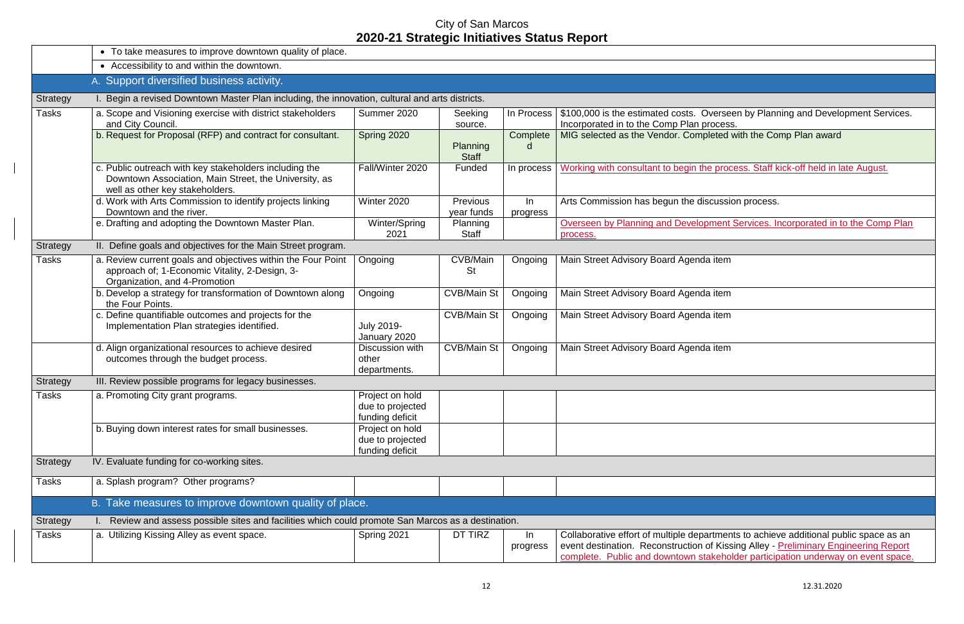|              | • To take measures to improve downtown quality of place.                                                                                           |                                                        |                               |                |                                                                                                                                                                                                                                                     |
|--------------|----------------------------------------------------------------------------------------------------------------------------------------------------|--------------------------------------------------------|-------------------------------|----------------|-----------------------------------------------------------------------------------------------------------------------------------------------------------------------------------------------------------------------------------------------------|
|              | • Accessibility to and within the downtown.                                                                                                        |                                                        |                               |                |                                                                                                                                                                                                                                                     |
|              | A. Support diversified business activity.                                                                                                          |                                                        |                               |                |                                                                                                                                                                                                                                                     |
| Strategy     | Begin a revised Downtown Master Plan including, the innovation, cultural and arts districts.                                                       |                                                        |                               |                |                                                                                                                                                                                                                                                     |
| <b>Tasks</b> | a. Scope and Visioning exercise with district stakeholders<br>and City Council.                                                                    | Summer 2020                                            | Seeking<br>source.            | In Process     | \$100,000 is the estimated costs. Overseen by Planning and Development Serv<br>Incorporated in to the Comp Plan process.                                                                                                                            |
|              | b. Request for Proposal (RFP) and contract for consultant.                                                                                         | Spring 2020                                            | Planning<br><b>Staff</b>      | Complete<br>d  | MIG selected as the Vendor. Completed with the Comp Plan award                                                                                                                                                                                      |
|              | c. Public outreach with key stakeholders including the<br>Downtown Association, Main Street, the University, as<br>well as other key stakeholders. | Fall/Winter 2020                                       | Funded                        | In process     | Working with consultant to begin the process. Staff kick-off held in late August.                                                                                                                                                                   |
|              | d. Work with Arts Commission to identify projects linking<br>Downtown and the river.                                                               | Winter 2020                                            | <b>Previous</b><br>year funds | In<br>progress | Arts Commission has begun the discussion process.                                                                                                                                                                                                   |
|              | e. Drafting and adopting the Downtown Master Plan.                                                                                                 | Winter/Spring<br>2021                                  | Planning<br><b>Staff</b>      |                | Overseen by Planning and Development Services. Incorporated in to the Comp<br>process.                                                                                                                                                              |
| Strategy     | II. Define goals and objectives for the Main Street program.                                                                                       |                                                        |                               |                |                                                                                                                                                                                                                                                     |
| <b>Tasks</b> | a. Review current goals and objectives within the Four Point<br>approach of; 1-Economic Vitality, 2-Design, 3-<br>Organization, and 4-Promotion    | Ongoing                                                | CVB/Main<br><b>St</b>         | Ongoing        | Main Street Advisory Board Agenda item                                                                                                                                                                                                              |
|              | b. Develop a strategy for transformation of Downtown along<br>the Four Points.                                                                     | Ongoing                                                | <b>CVB/Main St</b>            | Ongoing        | Main Street Advisory Board Agenda item                                                                                                                                                                                                              |
|              | c. Define quantifiable outcomes and projects for the<br>Implementation Plan strategies identified.                                                 | <b>July 2019-</b><br>January 2020                      | <b>CVB/Main St</b>            | Ongoing        | Main Street Advisory Board Agenda item                                                                                                                                                                                                              |
|              | d. Align organizational resources to achieve desired<br>outcomes through the budget process.                                                       | Discussion with<br>other<br>departments.               | <b>CVB/Main St</b>            | Ongoing        | Main Street Advisory Board Agenda item                                                                                                                                                                                                              |
| Strategy     | III. Review possible programs for legacy businesses.                                                                                               |                                                        |                               |                |                                                                                                                                                                                                                                                     |
| <b>Tasks</b> | a. Promoting City grant programs.                                                                                                                  | Project on hold<br>due to projected<br>funding deficit |                               |                |                                                                                                                                                                                                                                                     |
|              | b. Buying down interest rates for small businesses.                                                                                                | Project on hold<br>due to projected<br>funding deficit |                               |                |                                                                                                                                                                                                                                                     |
| Strategy     | IV. Evaluate funding for co-working sites.                                                                                                         |                                                        |                               |                |                                                                                                                                                                                                                                                     |
| <b>Tasks</b> | a. Splash program? Other programs?                                                                                                                 |                                                        |                               |                |                                                                                                                                                                                                                                                     |
|              | B. Take measures to improve downtown quality of place.                                                                                             |                                                        |                               |                |                                                                                                                                                                                                                                                     |
| Strategy     | I. Review and assess possible sites and facilities which could promote San Marcos as a destination.                                                |                                                        |                               |                |                                                                                                                                                                                                                                                     |
| <b>Tasks</b> | a. Utilizing Kissing Alley as event space.                                                                                                         | Spring 2021                                            | DT TIRZ                       | In<br>progress | Collaborative effort of multiple departments to achieve additional public space a<br>event destination. Reconstruction of Kissing Alley - Preliminary Engineering Re<br>complete. Public and downtown stakeholder participation underway on event s |

| In Process |                                                                                                                               |
|------------|-------------------------------------------------------------------------------------------------------------------------------|
|            | \$100,000 is the estimated costs. Overseen by Planning and Development Services.<br>Incorporated in to the Comp Plan process. |
| Complete   | MIG selected as the Vendor. Completed with the Comp Plan award                                                                |
| d          |                                                                                                                               |
|            |                                                                                                                               |
| In process | Working with consultant to begin the process. Staff kick-off held in late August.                                             |
|            |                                                                                                                               |
|            |                                                                                                                               |
| $\ln$      | Arts Commission has begun the discussion process.                                                                             |
| progress   | Overseen by Planning and Development Services. Incorporated in to the Comp Plan                                               |
|            | process.                                                                                                                      |
|            |                                                                                                                               |
| Ongoing    | Main Street Advisory Board Agenda item                                                                                        |
|            |                                                                                                                               |
|            |                                                                                                                               |
| Ongoing    | Main Street Advisory Board Agenda item                                                                                        |
|            |                                                                                                                               |
| Ongoing    | Main Street Advisory Board Agenda item                                                                                        |
|            |                                                                                                                               |
| Ongoing    | Main Street Advisory Board Agenda item                                                                                        |
|            |                                                                                                                               |
|            |                                                                                                                               |
|            |                                                                                                                               |
|            |                                                                                                                               |
|            |                                                                                                                               |
|            |                                                                                                                               |
|            |                                                                                                                               |
|            |                                                                                                                               |
|            |                                                                                                                               |
|            |                                                                                                                               |
|            |                                                                                                                               |
|            |                                                                                                                               |
|            |                                                                                                                               |
| วท.        |                                                                                                                               |
| In         | Collaborative effort of multiple departments to achieve additional public space as an                                         |
| progress   | event destination. Reconstruction of Kissing Alley - Preliminary Engineering Report                                           |
|            | complete. Public and downtown stakeholder participation underway on event space.                                              |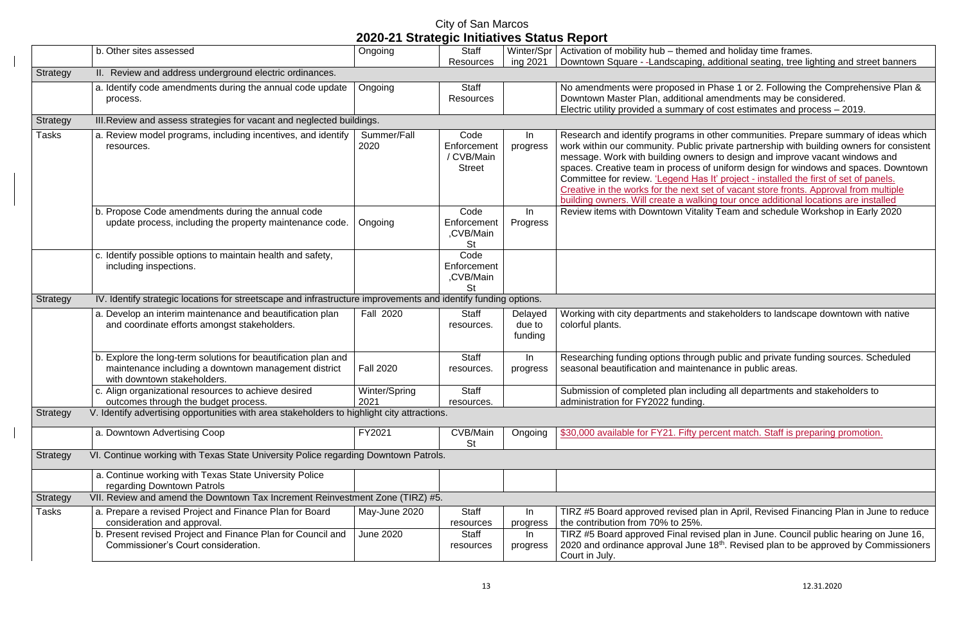|                 |                                                                                                                                                       | ZUZU ZT UNIUNGIU MMUUNUS UNUNG NUPUN |                                                    |                              |                                                                                                                                                                                                                                                                           |  |  |  |  |  |
|-----------------|-------------------------------------------------------------------------------------------------------------------------------------------------------|--------------------------------------|----------------------------------------------------|------------------------------|---------------------------------------------------------------------------------------------------------------------------------------------------------------------------------------------------------------------------------------------------------------------------|--|--|--|--|--|
|                 | b. Other sites assessed                                                                                                                               | Ongoing                              | <b>Staff</b>                                       | Winter/Spr                   | Activation of mobility hub - themed                                                                                                                                                                                                                                       |  |  |  |  |  |
|                 |                                                                                                                                                       |                                      | <b>Resources</b>                                   | ing 2021                     | Downtown Square - -Landscaping,                                                                                                                                                                                                                                           |  |  |  |  |  |
| <b>Strategy</b> | II. Review and address underground electric ordinances.                                                                                               |                                      |                                                    |                              |                                                                                                                                                                                                                                                                           |  |  |  |  |  |
|                 | a. Identify code amendments during the annual code update<br>process.                                                                                 | Ongoing                              | <b>Staff</b><br><b>Resources</b>                   |                              | No amendments were proposed in<br>Downtown Master Plan, additional a<br>Electric utility provided a summary                                                                                                                                                               |  |  |  |  |  |
| <b>Strategy</b> | III. Review and assess strategies for vacant and neglected buildings.                                                                                 |                                      |                                                    |                              |                                                                                                                                                                                                                                                                           |  |  |  |  |  |
| <b>Tasks</b>    | a. Review model programs, including incentives, and identify<br>resources.                                                                            | Summer/Fall<br>2020                  | Code<br>Enforcement<br>/ CVB/Main<br><b>Street</b> | In<br>progress               | Research and identify programs in<br>work within our community. Public p<br>message. Work with building owner<br>spaces. Creative team in process o<br>Committee for review. 'Legend Has<br>Creative in the works for the next se<br>building owners. Will create a walki |  |  |  |  |  |
|                 | b. Propose Code amendments during the annual code<br>update process, including the property maintenance code.                                         | Ongoing                              | Code<br>Enforcement<br>,CVB/Main<br>St             | In<br>Progress               | Review items with Downtown Vitalit                                                                                                                                                                                                                                        |  |  |  |  |  |
|                 | c. Identify possible options to maintain health and safety,<br>including inspections.                                                                 |                                      | Code<br>Enforcement<br>,CVB/Main<br><b>St</b>      |                              |                                                                                                                                                                                                                                                                           |  |  |  |  |  |
| Strategy        | IV. Identify strategic locations for streetscape and infrastructure improvements and identify funding options.                                        |                                      |                                                    |                              |                                                                                                                                                                                                                                                                           |  |  |  |  |  |
|                 | a. Develop an interim maintenance and beautification plan<br>and coordinate efforts amongst stakeholders.                                             | <b>Fall 2020</b>                     | <b>Staff</b><br>resources.                         | Delayed<br>due to<br>funding | Working with city departments and<br>colorful plants.                                                                                                                                                                                                                     |  |  |  |  |  |
|                 | b. Explore the long-term solutions for beautification plan and<br>maintenance including a downtown management district<br>with downtown stakeholders. | <b>Fall 2020</b>                     | <b>Staff</b><br>resources.                         | In<br>progress               | Researching funding options throug<br>seasonal beautification and mainter                                                                                                                                                                                                 |  |  |  |  |  |
|                 | c. Align organizational resources to achieve desired<br>outcomes through the budget process.                                                          | Winter/Spring<br>2021                | <b>Staff</b><br>resources.                         |                              | Submission of completed plan inclu<br>administration for FY2022 funding.                                                                                                                                                                                                  |  |  |  |  |  |
| Strategy        | V. Identify advertising opportunities with area stakeholders to highlight city attractions.                                                           |                                      |                                                    |                              |                                                                                                                                                                                                                                                                           |  |  |  |  |  |
|                 | a. Downtown Advertising Coop                                                                                                                          | FY2021                               | CVB/Main<br><b>St</b>                              | Ongoing                      | \$30,000 available for FY21. Fifty pe                                                                                                                                                                                                                                     |  |  |  |  |  |
| <b>Strategy</b> | VI. Continue working with Texas State University Police regarding Downtown Patrols.                                                                   |                                      |                                                    |                              |                                                                                                                                                                                                                                                                           |  |  |  |  |  |
|                 | a. Continue working with Texas State University Police<br>regarding Downtown Patrols                                                                  |                                      |                                                    |                              |                                                                                                                                                                                                                                                                           |  |  |  |  |  |
| <b>Strategy</b> | VII. Review and amend the Downtown Tax Increment Reinvestment Zone (TIRZ) #5.                                                                         |                                      |                                                    |                              |                                                                                                                                                                                                                                                                           |  |  |  |  |  |
| Tasks           | a. Prepare a revised Project and Finance Plan for Board<br>consideration and approval.                                                                | May-June 2020                        | <b>Staff</b><br>resources                          | In.<br>progress              | TIRZ #5 Board approved revised pl<br>the contribution from 70% to 25%.                                                                                                                                                                                                    |  |  |  |  |  |
|                 | b. Present revised Project and Finance Plan for Council and<br>Commissioner's Court consideration.                                                    | <b>June 2020</b>                     | <b>Staff</b><br>resources                          | In.<br>progress              | TIRZ #5 Board approved Final revis<br>2020 and ordinance approval June<br>Court in July.                                                                                                                                                                                  |  |  |  |  |  |

and holiday time frames. additional seating, tree lighting and street banners

Phase 1 or 2. Following the Comprehensive Plan & amendments may be considered. of cost estimates and process  $-2019$ .

other communities. Prepare summary of ideas which private partnership with building owners for consistent is to design and improve vacant windows and of uniform design for windows and spaces. Downtown It' project - installed the first of set of panels. et of vacant store fronts. Approval from multiple ing tour once additional locations are installed ty Team and schedule Workshop in Early 2020

stakeholders to landscape downtown with native

gh public and private funding sources. Scheduled nance in public areas.

ading all departments and stakeholders to

**Example 730, 30,000 aratic for Francis** errorent match. Staff is preparing promotion.

Ian in April, Revised Financing Plan in June to reduce

sed plan in June. Council public hearing on June 16,  $20^{18}$ . Revised plan to be approved by Commissioners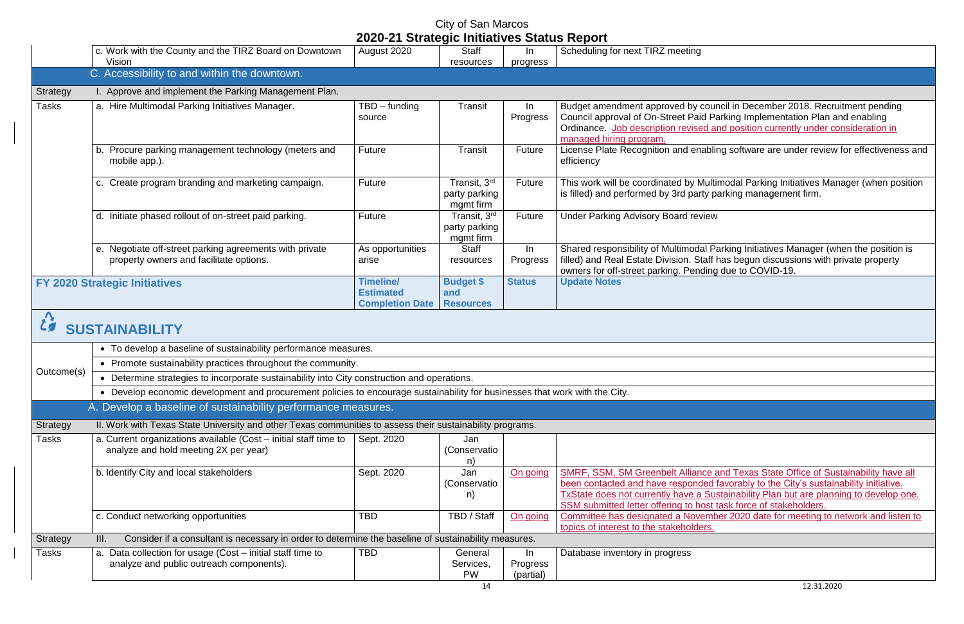City of San Marcos

buncil in December 2018. Recruitment pending Council approval of On-Street Paid Parking Implementation Plan and enabling Ordinance. Job description revised and position currently under consideration in

abling software are under review for effectiveness and

Iultimodal Parking Initiatives Manager (when position y parking management firm.

Reforms Farking Initiatives Manager (when the position is filled) and Real Estate Division. Staff has begun discussions with private property

ce and Texas State Office of Sustainability have all been contacted and have responded favorably to the City's sustainability initiative. TxState does not currently have a Sustainability Plan but are planning to develop one. ost task force of stakeholders. mber 2020 date for meeting to network and listen to

|                                      |                                                                                                                             | 2020-21 Strategic Initiatives Status Report                    |                                             |                             |                                                                                                                                                                                                                                                        |  |  |  |
|--------------------------------------|-----------------------------------------------------------------------------------------------------------------------------|----------------------------------------------------------------|---------------------------------------------|-----------------------------|--------------------------------------------------------------------------------------------------------------------------------------------------------------------------------------------------------------------------------------------------------|--|--|--|
|                                      | c. Work with the County and the TIRZ Board on Downtown<br>Vision                                                            | August 2020                                                    | Staff<br>resources                          | In<br>progress              | Scheduling for next TIRZ meeting                                                                                                                                                                                                                       |  |  |  |
|                                      | C. Accessibility to and within the downtown.                                                                                |                                                                |                                             |                             |                                                                                                                                                                                                                                                        |  |  |  |
| <b>Strategy</b>                      | I. Approve and implement the Parking Management Plan.                                                                       |                                                                |                                             |                             |                                                                                                                                                                                                                                                        |  |  |  |
| <b>Tasks</b>                         | a. Hire Multimodal Parking Initiatives Manager.                                                                             | $TBD$ – funding<br>source                                      | Transit                                     | In<br>Progress              | Budget amendment approved by council in December 20<br>Council approval of On-Street Paid Parking Implementat<br>Ordinance. Job description revised and position current<br>managed hiring program.                                                    |  |  |  |
|                                      | Procure parking management technology (meters and<br>b.<br>mobile app.).                                                    | <b>Future</b>                                                  | <b>Transit</b>                              | Future                      | License Plate Recognition and enabling software are un<br>efficiency                                                                                                                                                                                   |  |  |  |
|                                      | c. Create program branding and marketing campaign.                                                                          | Future                                                         | Transit, 3rd<br>party parking<br>mgmt firm  | Future                      | This work will be coordinated by Multimodal Parking Initi<br>is filled) and performed by 3rd party parking managemer                                                                                                                                   |  |  |  |
|                                      | d. Initiate phased rollout of on-street paid parking.                                                                       | <b>Future</b>                                                  | Transit, 3rd<br>party parking<br>mgmt firm  | Future                      | <b>Under Parking Advisory Board review</b>                                                                                                                                                                                                             |  |  |  |
|                                      | e. Negotiate off-street parking agreements with private<br>property owners and facilitate options.                          | As opportunities<br>arise                                      | <b>Staff</b><br>resources                   | In<br>Progress              | Shared responsibility of Multimodal Parking Initiatives Ma<br>filled) and Real Estate Division. Staff has begun discussi<br>owners for off-street parking. Pending due to COVID-19.                                                                    |  |  |  |
| <b>FY 2020 Strategic Initiatives</b> |                                                                                                                             | <b>Timeline/</b><br><b>Estimated</b><br><b>Completion Date</b> | <b>Budget \$</b><br>and<br><b>Resources</b> | <b>Status</b>               | <b>Update Notes</b>                                                                                                                                                                                                                                    |  |  |  |
|                                      | <b>SUSTAINABILITY</b>                                                                                                       |                                                                |                                             |                             |                                                                                                                                                                                                                                                        |  |  |  |
|                                      | • To develop a baseline of sustainability performance measures.                                                             |                                                                |                                             |                             |                                                                                                                                                                                                                                                        |  |  |  |
|                                      | • Promote sustainability practices throughout the community.                                                                |                                                                |                                             |                             |                                                                                                                                                                                                                                                        |  |  |  |
| Outcome(s)                           | • Determine strategies to incorporate sustainability into City construction and operations.                                 |                                                                |                                             |                             |                                                                                                                                                                                                                                                        |  |  |  |
|                                      | • Develop economic development and procurement policies to encourage sustainability for businesses that work with the City. |                                                                |                                             |                             |                                                                                                                                                                                                                                                        |  |  |  |
|                                      | A. Develop a baseline of sustainability performance measures.                                                               |                                                                |                                             |                             |                                                                                                                                                                                                                                                        |  |  |  |
| Strategy                             | II. Work with Texas State University and other Texas communities to assess their sustainability programs.                   |                                                                |                                             |                             |                                                                                                                                                                                                                                                        |  |  |  |
| <b>Tasks</b>                         | a. Current organizations available (Cost - initial staff time to                                                            | Sept. 2020                                                     | Jan                                         |                             |                                                                                                                                                                                                                                                        |  |  |  |
|                                      | analyze and hold meeting 2X per year)                                                                                       |                                                                | (Conservatio<br>n)                          |                             |                                                                                                                                                                                                                                                        |  |  |  |
|                                      | b. Identify City and local stakeholders                                                                                     | Sept. 2020                                                     | Jan<br>(Conservatio<br>n)                   | On going                    | <b>SMRF, SSM, SM Greenbelt Alliance and Texas State Of</b><br>been contacted and have responded favorably to the Cit<br><b>TxState does not currently have a Sustainability Plan but</b><br>SSM submitted letter offering to host task force of stakel |  |  |  |
|                                      | c. Conduct networking opportunities                                                                                         | <b>TBD</b>                                                     | TBD / Staff                                 | On going                    | Committee has designated a November 2020 date for m<br>topics of interest to the stakeholders.                                                                                                                                                         |  |  |  |
| Strategy                             | Consider if a consultant is necessary in order to determine the baseline of sustainability measures.<br>III.                |                                                                |                                             |                             |                                                                                                                                                                                                                                                        |  |  |  |
| <b>Tasks</b>                         | a. Data collection for usage (Cost - initial staff time to<br>analyze and public outreach components).                      | <b>TBD</b>                                                     | General<br>Services,<br><b>PW</b>           | In<br>Progress<br>(partial) | Database inventory in progress                                                                                                                                                                                                                         |  |  |  |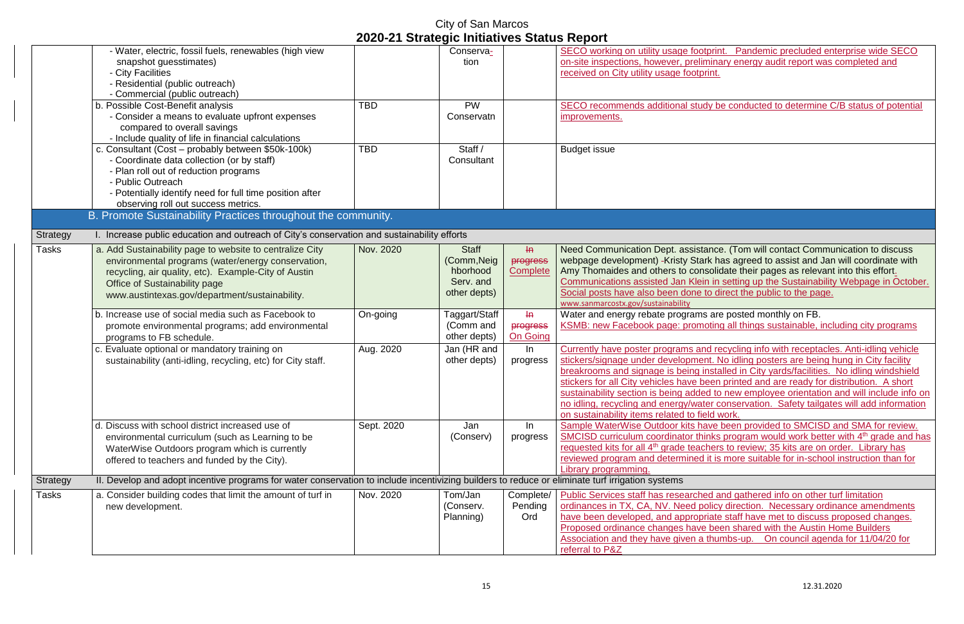City of San Marcos

tprint. Pandemic precluded enterprise wide SECO minary energy audit report was completed and

Iv be conducted to determine C/B status of potential

ance. (Tom will contact Communication to discuss rk has agreed to assist and Jan will coordinate with solidate their pages as relevant into this effort. In in setting up the Sustainability Webpage in October. to direct the public to the page.

are posted monthly on FB. oting all things sustainable, including city programs

d recycling info with receptacles. Anti-idling vehicle nt. No idling posters are being hung in City facility nstalled in City yards/facilities. No idling windshield een printed and are ready for distribution. A short d to new employee orientation and will include info on er conservation. Safety tailgates will add information. ld work.

ave been provided to SMCISD and SMA for review. SMCISD curriculum coordinator thinks program would work better with 4<sup>th</sup> grade and has hers to review; 35 kits are on order. Library has it is more suitable for in-school instruction than for

> Public Services and gathered info on other turf limitation olicy direction. Necessary ordinance amendments iate staff have met to discuss proposed changes. **Proposed or also have changes have changed videos** have been shared with the Austin Home Builders thumbs-up. On council agenda for 11/04/20 for

|                 |                                                                                                                                                                                                                                                                   |            | 2020-21 Strategic Initiatives Status Report                          |                                               |                                                                                                                                                                                                                                                                                                         |
|-----------------|-------------------------------------------------------------------------------------------------------------------------------------------------------------------------------------------------------------------------------------------------------------------|------------|----------------------------------------------------------------------|-----------------------------------------------|---------------------------------------------------------------------------------------------------------------------------------------------------------------------------------------------------------------------------------------------------------------------------------------------------------|
|                 | - Water, electric, fossil fuels, renewables (high view<br>snapshot guesstimates)<br>- City Facilities<br>- Residential (public outreach)<br>- Commercial (public outreach)                                                                                        |            | Conserva-<br>tion                                                    |                                               | SECO working on utility usage footprir<br>on-site inspections, however, prelimina<br>received on City utility usage footprint.                                                                                                                                                                          |
|                 | b. Possible Cost-Benefit analysis<br>- Consider a means to evaluate upfront expenses<br>compared to overall savings<br>- Include quality of life in financial calculations                                                                                        | <b>TBD</b> | <b>PW</b><br>Conservatn                                              |                                               | SECO recommends additional study b<br>improvements.                                                                                                                                                                                                                                                     |
|                 | c. Consultant (Cost - probably between \$50k-100k)<br>- Coordinate data collection (or by staff)<br>- Plan roll out of reduction programs<br>- Public Outreach<br>- Potentially identify need for full time position after<br>observing roll out success metrics. | <b>TBD</b> | Staff /<br>Consultant                                                |                                               | <b>Budget issue</b>                                                                                                                                                                                                                                                                                     |
|                 | B. Promote Sustainability Practices throughout the community.                                                                                                                                                                                                     |            |                                                                      |                                               |                                                                                                                                                                                                                                                                                                         |
| <b>Strategy</b> | I. Increase public education and outreach of City's conservation and sustainability efforts                                                                                                                                                                       |            |                                                                      |                                               |                                                                                                                                                                                                                                                                                                         |
| <b>Tasks</b>    | a. Add Sustainability page to website to centralize City<br>environmental programs (water/energy conservation,<br>recycling, air quality, etc). Example-City of Austin<br>Office of Sustainability page<br>www.austintexas.gov/department/sustainability.         | Nov. 2020  | <b>Staff</b><br>(Comm, Neig<br>hborhood<br>Serv. and<br>other depts) | $\mathsf{H}$<br>progress<br>Complete          | <b>Need Communication Dept. assistance</b><br>webpage development) - Kristy Stark h<br>Amy Thomaides and others to consoli-<br>Communications assisted Jan Klein in<br>Social posts have also been done to d<br>www.sanmarcostx.gov/sustainability                                                      |
|                 | b. Increase use of social media such as Facebook to<br>promote environmental programs; add environmental<br>programs to FB schedule.                                                                                                                              | On-going   | Taggart/Staff<br>(Comm and<br>other depts)                           | $H\rightarrow$<br>progress<br><b>On Going</b> | Water and energy rebate programs are<br><b>KSMB: new Facebook page: promotin</b>                                                                                                                                                                                                                        |
|                 | c. Evaluate optional or mandatory training on<br>sustainability (anti-idling, recycling, etc) for City staff.                                                                                                                                                     | Aug. 2020  | Jan (HR and<br>other depts)                                          | In<br>progress                                | Currently have poster programs and re<br>stickers/signage under development. I<br>breakrooms and signage is being insta<br>stickers for all City vehicles have been<br>sustainability section is being added to<br>no idling, recycling and energy/water of<br>on sustainability items related to field |
|                 | d. Discuss with school district increased use of<br>environmental curriculum (such as Learning to be<br>WaterWise Outdoors program which is currently<br>offered to teachers and funded by the City).                                                             | Sept. 2020 | Jan<br>(Conserv)                                                     | In<br>progress                                | Sample WaterWise Outdoor kits have<br><b>SMCISD curriculum coordinator thinks</b><br>requested kits for all 4 <sup>th</sup> grade teacher<br>reviewed program and determined it is<br>Library programming.                                                                                              |
| Strategy        | II. Develop and adopt incentive programs for water conservation to include incentivizing builders to reduce or eliminate turf irrigation systems                                                                                                                  |            |                                                                      |                                               |                                                                                                                                                                                                                                                                                                         |
| <b>Tasks</b>    | a. Consider building codes that limit the amount of turf in<br>new development.                                                                                                                                                                                   | Nov. 2020  | Tom/Jan<br>(Conserv.<br>Planning)                                    | Complete/<br>Pending<br>Ord                   | <b>Public Services staff has researched a</b><br>ordinances in TX, CA, NV. Need policy<br>have been developed, and appropriate<br>Proposed ordinance changes have be<br>Association and they have given a thu<br>referral to P&Z                                                                        |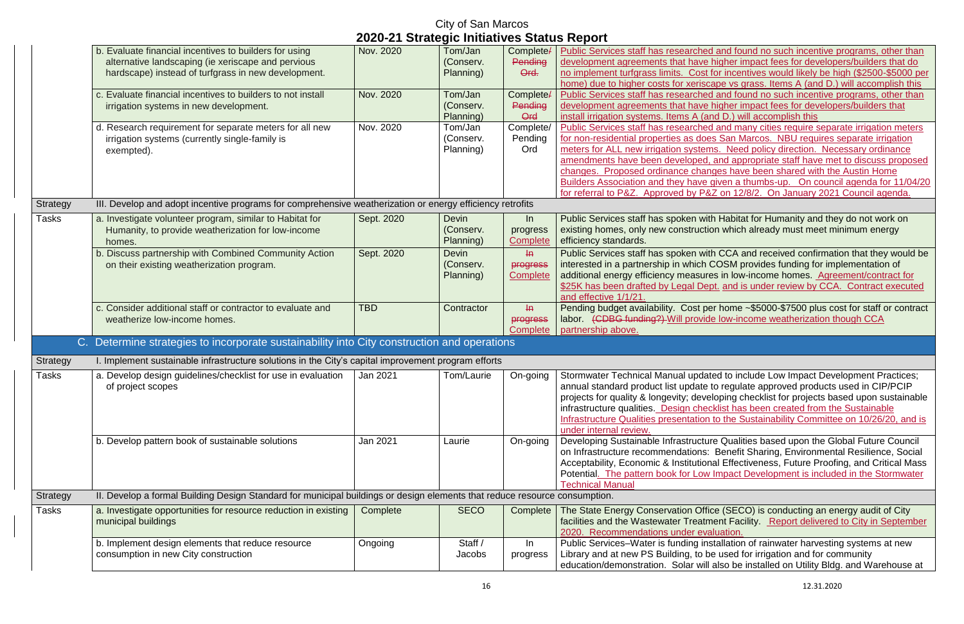|                 |                                                                                                                                                                     |                                             | <b>City of San Marcos</b>              |                                        |                                                                                                                                                                                                                                                                                     |
|-----------------|---------------------------------------------------------------------------------------------------------------------------------------------------------------------|---------------------------------------------|----------------------------------------|----------------------------------------|-------------------------------------------------------------------------------------------------------------------------------------------------------------------------------------------------------------------------------------------------------------------------------------|
|                 |                                                                                                                                                                     | 2020-21 Strategic Initiatives Status Report |                                        |                                        |                                                                                                                                                                                                                                                                                     |
|                 | b. Evaluate financial incentives to builders for using<br>alternative landscaping (ie xeriscape and pervious<br>hardscape) instead of turfgrass in new development. | Nov. 2020                                   | Tom/Jan<br>(Conserv.<br>Planning)      | Complete/<br>Pending<br>Ord.           | <b>Public Services staff has researche</b><br>development agreements that have<br>no implement turfgrass limits. Cost<br>home) due to higher costs for xerise                                                                                                                       |
|                 | c. Evaluate financial incentives to builders to not install<br>irrigation systems in new development.                                                               | Nov. 2020                                   | Tom/Jan<br>(Conserv.<br>Planning)      | Complete/<br>Pending<br>Ord            | <b>Public Services staff has researche</b><br>development agreements that have<br>install irrigation systems. Items A (a                                                                                                                                                            |
|                 | d. Research requirement for separate meters for all new<br>irrigation systems (currently single-family is<br>exempted).                                             | Nov. 2020                                   | Tom/Jan<br>(Conserv.<br>Planning)      | Complete/<br>Pending<br>Ord            | <b>Public Services staff has researche</b><br>for non-residential properties as do<br>meters for ALL new irrigation syster<br>amendments have been developed<br>changes. Proposed ordinance cha<br><b>Builders Association and they have</b><br>for referral to P&Z. Approved by Pa |
| Strategy        | III. Develop and adopt incentive programs for comprehensive weatherization or energy efficiency retrofits                                                           |                                             |                                        |                                        |                                                                                                                                                                                                                                                                                     |
| <b>Tasks</b>    | a. Investigate volunteer program, similar to Habitat for<br>Humanity, to provide weatherization for low-income<br>homes.                                            | Sept. 2020                                  | <b>Devin</b><br>(Conserv.<br>Planning) | ln<br>progress<br>Complete             | Public Services staff has spoken wi<br>existing homes, only new construct<br>efficiency standards.                                                                                                                                                                                  |
|                 | b. Discuss partnership with Combined Community Action<br>on their existing weatherization program.                                                                  | Sept. 2020                                  | <b>Devin</b><br>(Conserv.<br>Planning) | H<br>progress<br>Complete              | Public Services staff has spoken wi<br>interested in a partnership in which<br>additional energy efficiency measur<br>\$25K has been drafted by Legal De<br>and effective 1/1/21.                                                                                                   |
|                 | c. Consider additional staff or contractor to evaluate and<br>weatherize low-income homes.                                                                          | <b>TBD</b>                                  | Contractor                             | $H\rightarrow$<br>progress<br>Complete | Pending budget availability. Cost p<br>labor. (CDBG funding?) Will provi<br>partnership above.                                                                                                                                                                                      |
|                 | C. Determine strategies to incorporate sustainability into City construction and operations                                                                         |                                             |                                        |                                        |                                                                                                                                                                                                                                                                                     |
| Strategy        | I. Implement sustainable infrastructure solutions in the City's capital improvement program efforts                                                                 |                                             |                                        |                                        |                                                                                                                                                                                                                                                                                     |
| Tasks           | a. Develop design guidelines/checklist for use in evaluation<br>of project scopes                                                                                   | $\sqrt{3}$ Jan 2021                         | Tom/Laurie                             | On-going                               | Stormwater Technical Manual upda<br>annual standard product list update<br>projects for quality & longevity; dev<br>infrastructure qualities. Design che<br><b>Infrastructure Qualities presentation</b><br>under internal review.                                                  |
|                 | b. Develop pattern book of sustainable solutions                                                                                                                    | Jan 2021                                    | Laurie                                 | On-going                               | Developing Sustainable Infrastructu<br>on Infrastructure recommendations<br>Acceptability, Economic & Institutio<br>Potential. The pattern book for Lov<br><b>Technical Manual</b>                                                                                                  |
| <b>Strategy</b> | II. Develop a formal Building Design Standard for municipal buildings or design elements that reduce resource consumption.                                          |                                             |                                        |                                        |                                                                                                                                                                                                                                                                                     |
| Tasks           | a. Investigate opportunities for resource reduction in existing<br>municipal buildings                                                                              | Complete                                    | <b>SECO</b>                            | Complete                               | The State Energy Conservation Off<br>facilities and the Wastewater Treati<br>2020. Recommendations under ev                                                                                                                                                                         |
|                 | b. Implement design elements that reduce resource<br>consumption in new City construction                                                                           | Ongoing                                     | Staff /<br>Jacobs                      | In<br>progress                         | Public Services-Water is funding in<br>Library and at new PS Building, to I<br>education/demonstration Solar wil                                                                                                                                                                    |

ed and found no such incentive programs, other than e higher impact fees for developers/builders that do t for incentives would likely be high (\$2500-\$5000 per cape vs grass. Items A (and D.) will accomplish this ed and found no such incentive programs, other than e higher impact fees for developers/builders that and D.) will accomplish this. Public and many cities require separate irrigation meters

es San Marcos. NBU requires separate irrigation ms. Need policy direction. Necessary ordinance d, and appropriate staff have met to discuss proposed inges have been shared with the Austin Home  $\mu$  given a thumbs-up. On council agenda for 11/04/20 8. Approved by Papara to Papara 2021 Council agenda.

ith Habitat for Humanity and they do not work on tion which already must meet minimum energy

ith CCA and received confirmation that they would be COSM provides funding for implementation of res in low-income homes. Agreement/contract for ept. and is under review by CCA. Contract executed

 $\beta$ per home ~\$5000-\$7500 plus cost for staff or contract de low-income weatherization though CCA

ated to include Low Impact Development Practices; to regulate approved products used in CIP/PCIP reloping checklist for projects based upon sustainable ecklist has been created from the Sustainable In to the Sustainability Committee on 10/26/20, and is

are Qualities based upon the Global Future Council E. Benefit Sharing, Environmental Resilience, Social nal Effectiveness, Future Proofing, and Critical Mass v Impact Development is included in the Stormwater

Fice (SECO) is conducting an energy audit of City ment Facility. Report delivered to City in September *aluation.* 

nstallation of rainwater harvesting systems at new be used for irrigation and for community  $\ddot{\text{all}}$  also be installed on Utility Bldg. and Warehouse at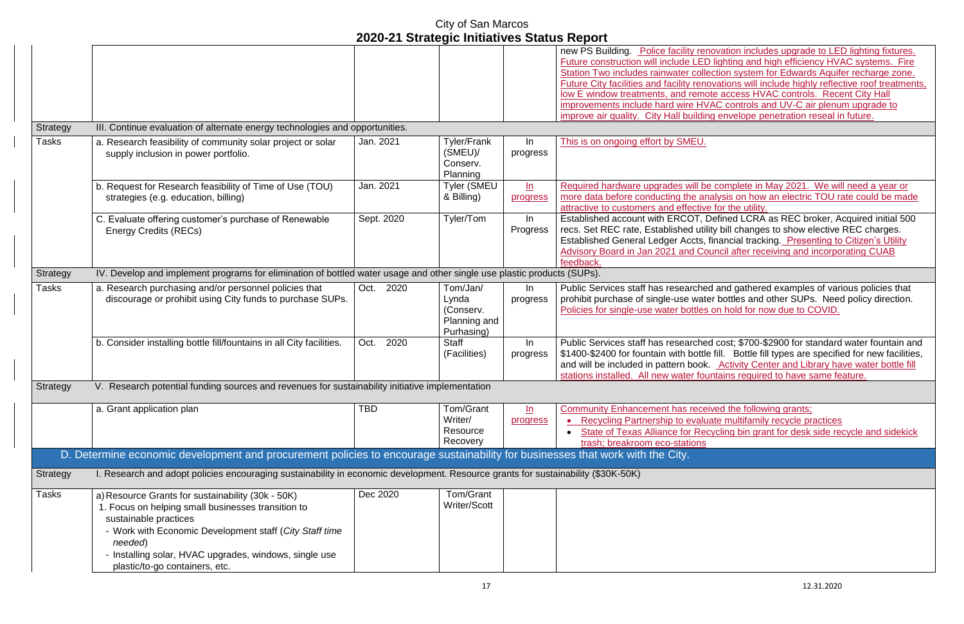|                 |                                                                                                                                   | 2020-21 Julaityje milialivės Jialus Report |                     |                   |                                            |
|-----------------|-----------------------------------------------------------------------------------------------------------------------------------|--------------------------------------------|---------------------|-------------------|--------------------------------------------|
|                 |                                                                                                                                   |                                            |                     |                   | new PS Building. Police facility re        |
|                 |                                                                                                                                   |                                            |                     |                   | Future construction will include LEI       |
|                 |                                                                                                                                   |                                            |                     |                   | <b>Station Two includes rainwater coll</b> |
|                 |                                                                                                                                   |                                            |                     |                   | Future City facilities and facility ren    |
|                 |                                                                                                                                   |                                            |                     |                   | low E window treatments, and reme          |
|                 |                                                                                                                                   |                                            |                     |                   | improvements include hard wire H\          |
|                 |                                                                                                                                   |                                            |                     |                   |                                            |
|                 |                                                                                                                                   |                                            |                     |                   | improve air quality. City Hall buildin     |
| <b>Strategy</b> | III. Continue evaluation of alternate energy technologies and opportunities.                                                      |                                            |                     |                   |                                            |
| <b>Tasks</b>    | a. Research feasibility of community solar project or solar                                                                       | Jan. 2021                                  | <b>Tyler/Frank</b>  | In                | This is on ongoing effort by SMEU.         |
|                 | supply inclusion in power portfolio.                                                                                              |                                            | (SMEU)              | progress          |                                            |
|                 |                                                                                                                                   |                                            | Conserv.            |                   |                                            |
|                 |                                                                                                                                   |                                            | Planning            |                   |                                            |
|                 | b. Request for Research feasibility of Time of Use (TOU)                                                                          | Jan. 2021                                  | <b>Tyler (SMEU</b>  | $\underline{\ln}$ | Required hardware upgrades will b          |
|                 | strategies (e.g. education, billing)                                                                                              |                                            | & Billing)          | progress          | more data before conducting the are        |
|                 |                                                                                                                                   |                                            |                     |                   | attractive to customers and effectiv       |
|                 |                                                                                                                                   | Sept. 2020                                 | Tyler/Tom           | In                | Established account with ERCOT,            |
|                 | C. Evaluate offering customer's purchase of Renewable                                                                             |                                            |                     |                   |                                            |
|                 | <b>Energy Credits (RECs)</b>                                                                                                      |                                            |                     | Progress          | recs. Set REC rate, Established uti        |
|                 |                                                                                                                                   |                                            |                     |                   | <b>Established General Ledger Accts,</b>   |
|                 |                                                                                                                                   |                                            |                     |                   | <b>Advisory Board in Jan 2021 and Co</b>   |
|                 |                                                                                                                                   |                                            |                     |                   | feedback.                                  |
| Strategy        | IV. Develop and implement programs for elimination of bottled water usage and other single use plastic products (SUPs).           |                                            |                     |                   |                                            |
| <b>Tasks</b>    | a. Research purchasing and/or personnel policies that                                                                             | 2020<br>Oct.                               | Tom/Jan/            | $\ln$             | Public Services staff has researche        |
|                 | discourage or prohibit using City funds to purchase SUPs.                                                                         |                                            | Lynda               | progress          | prohibit purchase of single-use wat        |
|                 |                                                                                                                                   |                                            | (Conserv.           |                   | Policies for single-use water bottles      |
|                 |                                                                                                                                   |                                            | Planning and        |                   |                                            |
|                 |                                                                                                                                   |                                            |                     |                   |                                            |
|                 |                                                                                                                                   |                                            | Purhasing)          |                   |                                            |
|                 | b. Consider installing bottle fill/fountains in all City facilities.                                                              | 2020<br>Oct.                               | <b>Staff</b>        | In                | Public Services staff has researche        |
|                 |                                                                                                                                   |                                            | (Facilities)        | progress          | \$1400-\$2400 for fountain with bottl      |
|                 |                                                                                                                                   |                                            |                     |                   | and will be included in pattern book       |
|                 |                                                                                                                                   |                                            |                     |                   | stations installed. All new water for      |
| Strategy        | V. Research potential funding sources and revenues for sustainability initiative implementation                                   |                                            |                     |                   |                                            |
|                 |                                                                                                                                   |                                            |                     |                   |                                            |
|                 | a. Grant application plan                                                                                                         | <b>TBD</b>                                 | Tom/Grant           | $\underline{\ln}$ | <b>Community Enhancement has rece</b>      |
|                 |                                                                                                                                   |                                            | Writer/             | progress          | <b>Recycling Partnership to evalu</b>      |
|                 |                                                                                                                                   |                                            | Resource            |                   | <b>State of Texas Alliance for Re</b>      |
|                 |                                                                                                                                   |                                            | Recovery            |                   | trash; breakroom eco-stations              |
|                 |                                                                                                                                   |                                            |                     |                   |                                            |
|                 | D. Determine economic development and procurement policies to encourage sustainability for businesses that work with the City.    |                                            |                     |                   |                                            |
| Strategy        | I. Research and adopt policies encouraging sustainability in economic development. Resource grants for sustainability (\$30K-50K) |                                            |                     |                   |                                            |
| <b>Tasks</b>    | a) Resource Grants for sustainability (30k - 50K)                                                                                 | Dec 2020                                   | Tom/Grant           |                   |                                            |
|                 |                                                                                                                                   |                                            | <b>Writer/Scott</b> |                   |                                            |
|                 | 1. Focus on helping small businesses transition to                                                                                |                                            |                     |                   |                                            |
|                 | sustainable practices                                                                                                             |                                            |                     |                   |                                            |
|                 | - Work with Economic Development staff (City Staff time                                                                           |                                            |                     |                   |                                            |
|                 | needed)                                                                                                                           |                                            |                     |                   |                                            |
|                 | - Installing solar, HVAC upgrades, windows, single use                                                                            |                                            |                     |                   |                                            |
|                 |                                                                                                                                   |                                            |                     |                   |                                            |
|                 | plastic/to-go containers, etc.                                                                                                    |                                            |                     |                   |                                            |

novation includes upgrade to LED lighting fixtures. D lighting and high efficiency HVAC systems. Fire ection system for Edwards Aquifer recharge zone. novations will include highly reflective roof treatments, lote access HVAC controls. Recent City Hall VAC controls and UV-C air plenum upgrade to improve alite and the penetration reseal in future.

Repremented in May 2021. We will need a year or nalysis on how an electric TOU rate could be made  $\alpha$  for the utility.

Defined LCRA as REC broker, Acquired initial 500 ility bill changes to show elective REC charges. financial tracking. Presenting to Citizen's Utility buncil after receiving and incorporating CUAB

ed and gathered examples of various policies that ter bottles and other SUPs. Need policy direction. s on hold for now due to COVID.

ed cost; \$700-\$2900 for standard water fountain and le fill. Bottle fill types are specified for new facilities, a. Activity Center and Library have water bottle fill untains required to have same feature.

eived the following grants; ate multifamily recycle practices eycling bin grant for desk side recycle and sidekick